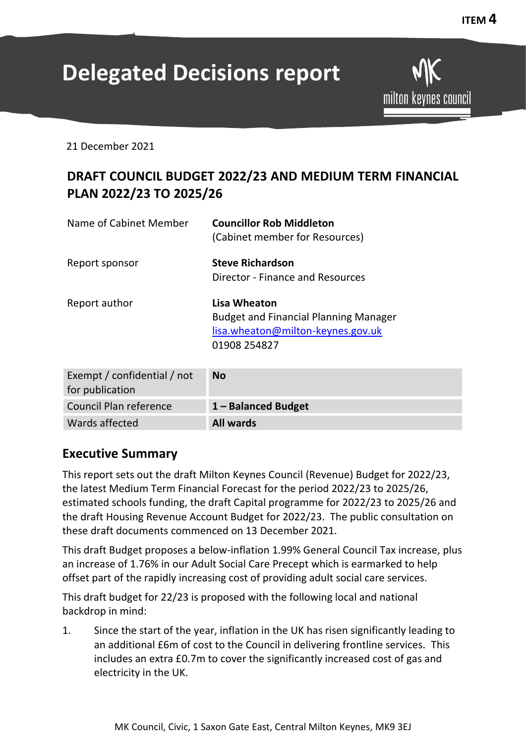# **Delegated Decisions report**

**ITEM 4**

21 December 2021

# **DRAFT COUNCIL BUDGET 2022/23 AND MEDIUM TERM FINANCIAL PLAN 2022/23 TO 2025/26**

| Name of Cabinet Member | <b>Councillor Rob Middleton</b><br>(Cabinet member for Resources)                                                        |
|------------------------|--------------------------------------------------------------------------------------------------------------------------|
| Report sponsor         | <b>Steve Richardson</b><br>Director - Finance and Resources                                                              |
| Report author          | <b>Lisa Wheaton</b><br><b>Budget and Financial Planning Manager</b><br>lisa.wheaton@milton-keynes.gov.uk<br>01908 254827 |

| Exempt / confidential / not<br>for publication | <b>No</b>           |
|------------------------------------------------|---------------------|
| Council Plan reference                         | 1 - Balanced Budget |
| Wards affected                                 | <b>All wards</b>    |

## **Executive Summary**

This report sets out the draft Milton Keynes Council (Revenue) Budget for 2022/23, the latest Medium Term Financial Forecast for the period 2022/23 to 2025/26, estimated schools funding, the draft Capital programme for 2022/23 to 2025/26 and the draft Housing Revenue Account Budget for 2022/23. The public consultation on these draft documents commenced on 13 December 2021.

This draft Budget proposes a below-inflation 1.99% General Council Tax increase, plus an increase of 1.76% in our Adult Social Care Precept which is earmarked to help offset part of the rapidly increasing cost of providing adult social care services.

This draft budget for 22/23 is proposed with the following local and national backdrop in mind:

1. Since the start of the year, inflation in the UK has risen significantly leading to an additional £6m of cost to the Council in delivering frontline services. This includes an extra £0.7m to cover the significantly increased cost of gas and electricity in the UK.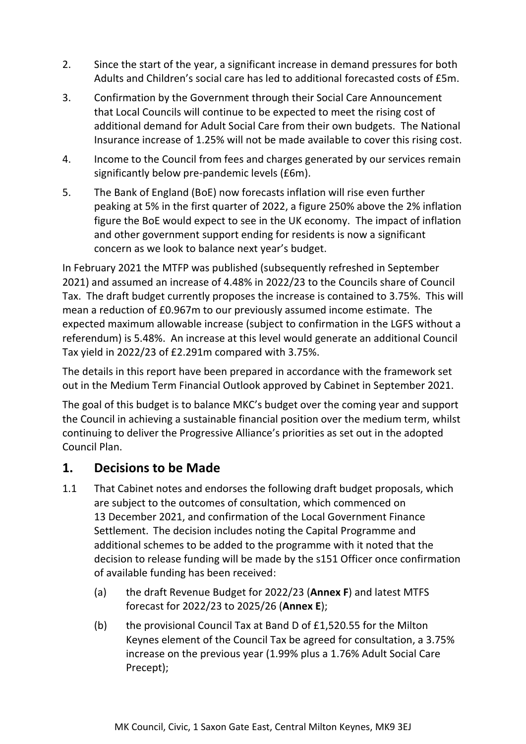- 2. Since the start of the year, a significant increase in demand pressures for both Adults and Children's social care has led to additional forecasted costs of £5m.
- 3. Confirmation by the Government through their Social Care Announcement that Local Councils will continue to be expected to meet the rising cost of additional demand for Adult Social Care from their own budgets. The National Insurance increase of 1.25% will not be made available to cover this rising cost.
- 4. Income to the Council from fees and charges generated by our services remain significantly below pre-pandemic levels (£6m).
- 5. The Bank of England (BoE) now forecasts inflation will rise even further peaking at 5% in the first quarter of 2022, a figure 250% above the 2% inflation figure the BoE would expect to see in the UK economy. The impact of inflation and other government support ending for residents is now a significant concern as we look to balance next year's budget.

In February 2021 the MTFP was published (subsequently refreshed in September 2021) and assumed an increase of 4.48% in 2022/23 to the Councils share of Council Tax. The draft budget currently proposes the increase is contained to 3.75%. This will mean a reduction of £0.967m to our previously assumed income estimate. The expected maximum allowable increase (subject to confirmation in the LGFS without a referendum) is 5.48%. An increase at this level would generate an additional Council Tax yield in 2022/23 of £2.291m compared with 3.75%.

The details in this report have been prepared in accordance with the framework set out in the Medium Term Financial Outlook approved by Cabinet in September 2021.

The goal of this budget is to balance MKC's budget over the coming year and support the Council in achieving a sustainable financial position over the medium term, whilst continuing to deliver the Progressive Alliance's priorities as set out in the adopted Council Plan.

# **1. Decisions to be Made**

- 1.1 That Cabinet notes and endorses the following draft budget proposals, which are subject to the outcomes of consultation, which commenced on 13 December 2021, and confirmation of the Local Government Finance Settlement. The decision includes noting the Capital Programme and additional schemes to be added to the programme with it noted that the decision to release funding will be made by the s151 Officer once confirmation of available funding has been received:
	- (a) the draft Revenue Budget for 2022/23 (**Annex F**) and latest MTFS forecast for 2022/23 to 2025/26 (**Annex E**);
	- (b) the provisional Council Tax at Band D of £1,520.55 for the Milton Keynes element of the Council Tax be agreed for consultation, a 3.75% increase on the previous year (1.99% plus a 1.76% Adult Social Care Precept);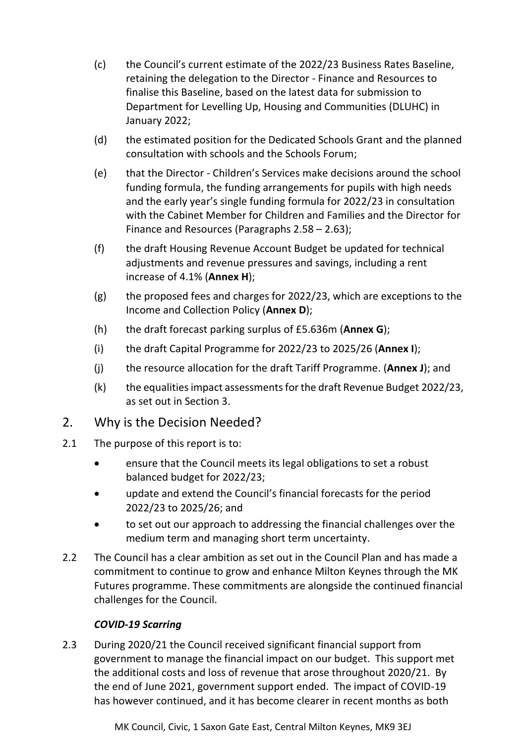- (c) the Council's current estimate of the 2022/23 Business Rates Baseline, retaining the delegation to the Director - Finance and Resources to finalise this Baseline, based on the latest data for submission to Department for Levelling Up, Housing and Communities (DLUHC) in January 2022;
- (d) the estimated position for the Dedicated Schools Grant and the planned consultation with schools and the Schools Forum;
- (e) that the Director Children's Services make decisions around the school funding formula, the funding arrangements for pupils with high needs and the early year's single funding formula for 2022/23 in consultation with the Cabinet Member for Children and Families and the Director for Finance and Resources (Paragraphs 2.58 – 2.63);
- (f) the draft Housing Revenue Account Budget be updated for technical adjustments and revenue pressures and savings, including a rent increase of 4.1% (**Annex H**);
- (g) the proposed fees and charges for 2022/23, which are exceptions to the Income and Collection Policy (**Annex D**);
- (h) the draft forecast parking surplus of £5.636m (**Annex G**);
- (i) the draft Capital Programme for 2022/23 to 2025/26 (**Annex I**);
- (j) the resource allocation for the draft Tariff Programme. (**Annex J**); and
- (k) the equalities impact assessments for the draft Revenue Budget 2022/23, as set out in Section 3.

## 2. Why is the Decision Needed?

- 2.1 The purpose of this report is to:
	- ensure that the Council meets its legal obligations to set a robust balanced budget for 2022/23;
	- update and extend the Council's financial forecasts for the period 2022/23 to 2025/26; and
	- to set out our approach to addressing the financial challenges over the medium term and managing short term uncertainty.
- 2.2 The Council has a clear ambition as set out in the Council Plan and has made a commitment to continue to grow and enhance Milton Keynes through the MK Futures programme. These commitments are alongside the continued financial challenges for the Council.

## *COVID-19 Scarring*

2.3 During 2020/21 the Council received significant financial support from government to manage the financial impact on our budget. This support met the additional costs and loss of revenue that arose throughout 2020/21. By the end of June 2021, government support ended. The impact of COVID-19 has however continued, and it has become clearer in recent months as both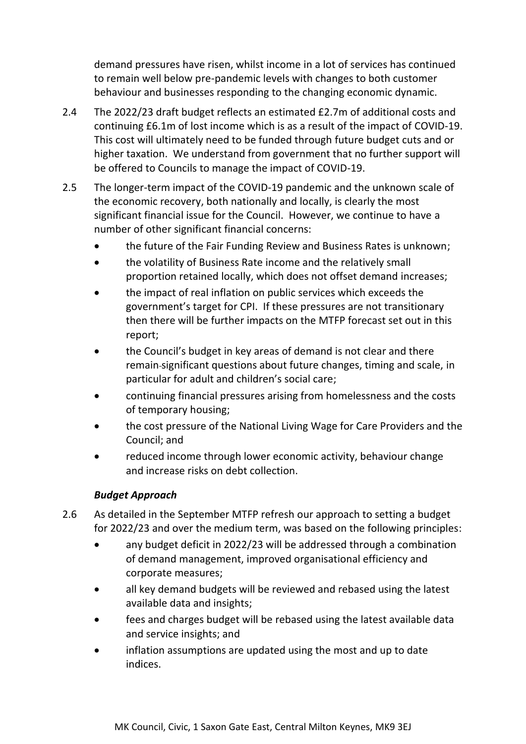demand pressures have risen, whilst income in a lot of services has continued to remain well below pre-pandemic levels with changes to both customer behaviour and businesses responding to the changing economic dynamic.

- 2.4 The 2022/23 draft budget reflects an estimated £2.7m of additional costs and continuing £6.1m of lost income which is as a result of the impact of COVID-19. This cost will ultimately need to be funded through future budget cuts and or higher taxation. We understand from government that no further support will be offered to Councils to manage the impact of COVID-19.
- 2.5 The longer-term impact of the COVID-19 pandemic and the unknown scale of the economic recovery, both nationally and locally, is clearly the most significant financial issue for the Council. However, we continue to have a number of other significant financial concerns:
	- the future of the Fair Funding Review and Business Rates is unknown;
	- the volatility of Business Rate income and the relatively small proportion retained locally, which does not offset demand increases;
	- the impact of real inflation on public services which exceeds the government's target for CPI. If these pressures are not transitionary then there will be further impacts on the MTFP forecast set out in this report;
	- the Council's budget in key areas of demand is not clear and there remain significant questions about future changes, timing and scale, in particular for adult and children's social care;
	- continuing financial pressures arising from homelessness and the costs of temporary housing;
	- the cost pressure of the National Living Wage for Care Providers and the Council; and
	- reduced income through lower economic activity, behaviour change and increase risks on debt collection.

## *Budget Approach*

- 2.6 As detailed in the September MTFP refresh our approach to setting a budget for 2022/23 and over the medium term, was based on the following principles:
	- any budget deficit in 2022/23 will be addressed through a combination of demand management, improved organisational efficiency and corporate measures;
	- all key demand budgets will be reviewed and rebased using the latest available data and insights;
	- fees and charges budget will be rebased using the latest available data and service insights; and
	- inflation assumptions are updated using the most and up to date indices.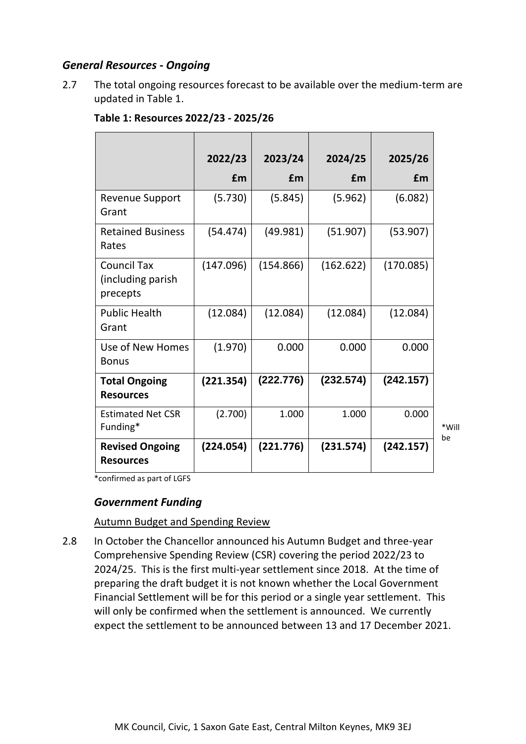## *General Resources - Ongoing*

2.7 The total ongoing resources forecast to be available over the medium-term are updated in Table 1.

|                                                     | 2022/23   | 2023/24   | 2024/25   | 2025/26   |
|-----------------------------------------------------|-----------|-----------|-----------|-----------|
|                                                     | £m        | £m        | £m        | £m        |
| <b>Revenue Support</b><br>Grant                     | (5.730)   | (5.845)   | (5.962)   | (6.082)   |
| <b>Retained Business</b><br>Rates                   | (54.474)  | (49.981)  | (51.907)  | (53.907)  |
| <b>Council Tax</b><br>(including parish<br>precepts | (147.096) | (154.866) | (162.622) | (170.085) |
| <b>Public Health</b><br>Grant                       | (12.084)  | (12.084)  | (12.084)  | (12.084)  |
| Use of New Homes<br><b>Bonus</b>                    | (1.970)   | 0.000     | 0.000     | 0.000     |
| <b>Total Ongoing</b><br><b>Resources</b>            | (221.354) | (222.776) | (232.574) | (242.157) |
| <b>Estimated Net CSR</b><br>Funding*                | (2.700)   | 1.000     | 1.000     | 0.000     |
| <b>Revised Ongoing</b><br><b>Resources</b>          | (224.054) | (221.776) | (231.574) | (242.157) |

\*Will be

#### **Table 1: Resources 2022/23 - 2025/26**

\*confirmed as part of LGFS

## *Government Funding*

#### Autumn Budget and Spending Review

2.8 In October the Chancellor announced his Autumn Budget and three-year Comprehensive Spending Review (CSR) covering the period 2022/23 to 2024/25. This is the first multi-year settlement since 2018. At the time of preparing the draft budget it is not known whether the Local Government Financial Settlement will be for this period or a single year settlement. This will only be confirmed when the settlement is announced. We currently expect the settlement to be announced between 13 and 17 December 2021.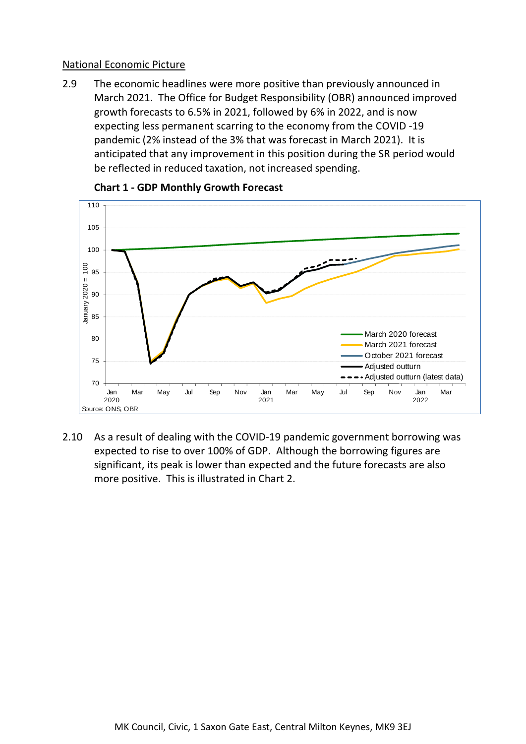#### National Economic Picture

2.9 The economic headlines were more positive than previously announced in March 2021. The Office for Budget Responsibility (OBR) announced improved growth forecasts to 6.5% in 2021, followed by 6% in 2022, and is now expecting less permanent scarring to the economy from the COVID -19 pandemic (2% instead of the 3% that was forecast in March 2021). It is anticipated that any improvement in this position during the SR period would be reflected in reduced taxation, not increased spending.



## **Chart 1 - GDP Monthly Growth Forecast**

2.10 As a result of dealing with the COVID-19 pandemic government borrowing was expected to rise to over 100% of GDP. Although the borrowing figures are significant, its peak is lower than expected and the future forecasts are also more positive. This is illustrated in Chart 2.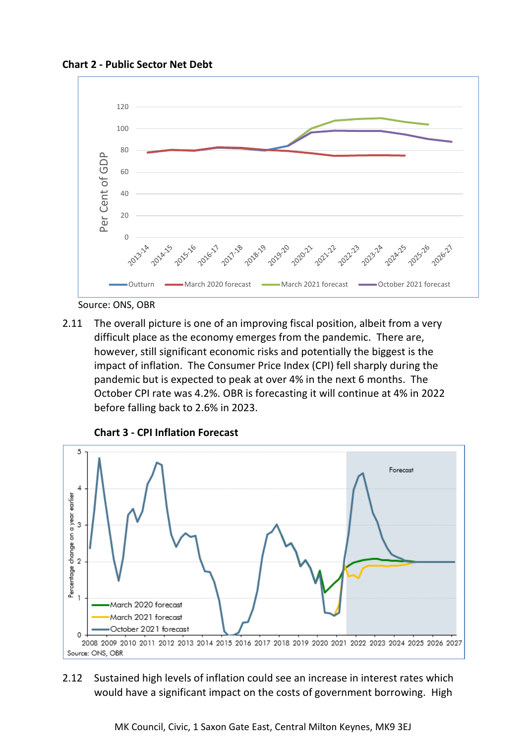**Chart 2 - Public Sector Net Debt**



Source: ONS, OBR

2.11 The overall picture is one of an improving fiscal position, albeit from a very difficult place as the economy emerges from the pandemic. There are, however, still significant economic risks and potentially the biggest is the impact of inflation. The Consumer Price Index (CPI) fell sharply during the pandemic but is expected to peak at over 4% in the next 6 months. The October CPI rate was 4.2%. OBR is forecasting it will continue at 4% in 2022 before falling back to 2.6% in 2023.



**Chart 3 - CPI Inflation Forecast**

## 2.12 Sustained high levels of inflation could see an increase in interest rates which would have a significant impact on the costs of government borrowing. High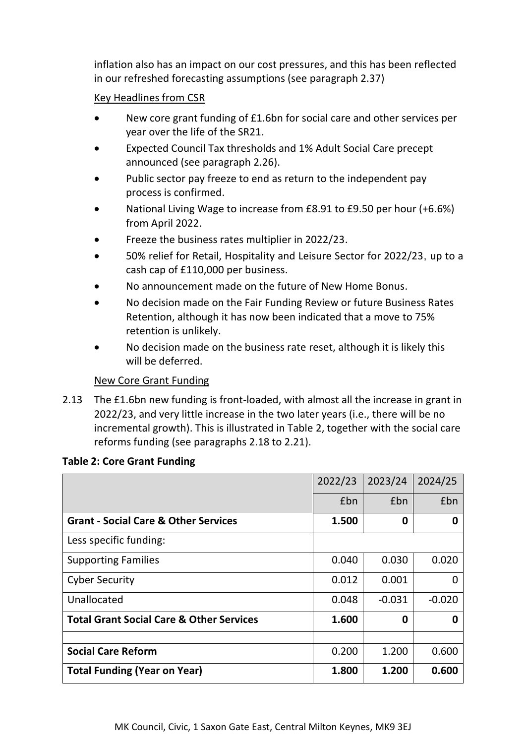inflation also has an impact on our cost pressures, and this has been reflected in our refreshed forecasting assumptions (see paragraph 2.37)

## Key Headlines from CSR

- New core grant funding of £1.6bn for social care and other services per year over the life of the SR21.
- Expected Council Tax thresholds and 1% Adult Social Care precept announced (see paragraph 2.26).
- Public sector pay freeze to end as return to the independent pay process is confirmed.
- National Living Wage to increase from £8.91 to £9.50 per hour (+6.6%) from April 2022.
- Freeze the business rates multiplier in 2022/23.
- 50% relief for Retail, Hospitality and Leisure Sector for 2022/23, up to a cash cap of £110,000 per business.
- No announcement made on the future of New Home Bonus.
- No decision made on the Fair Funding Review or future Business Rates Retention, although it has now been indicated that a move to 75% retention is unlikely.
- No decision made on the business rate reset, although it is likely this will be deferred.

## New Core Grant Funding

2.13 The £1.6bn new funding is front-loaded, with almost all the increase in grant in 2022/23, and very little increase in the two later years (i.e., there will be no incremental growth). This is illustrated in Table 2, together with the social care reforms funding (see paragraphs 2.18 to 2.21).

|                                                     | 2022/23 | 2023/24  | 2024/25  |
|-----------------------------------------------------|---------|----------|----------|
|                                                     | £bn     | £bn      | £bn      |
| <b>Grant - Social Care &amp; Other Services</b>     | 1.500   | 0        | 0        |
| Less specific funding:                              |         |          |          |
| <b>Supporting Families</b>                          | 0.040   | 0.030    | 0.020    |
| <b>Cyber Security</b>                               | 0.012   | 0.001    | 0        |
| Unallocated                                         | 0.048   | $-0.031$ | $-0.020$ |
| <b>Total Grant Social Care &amp; Other Services</b> | 1.600   | 0        | O        |
|                                                     |         |          |          |
| <b>Social Care Reform</b>                           | 0.200   | 1.200    | 0.600    |
| <b>Total Funding (Year on Year)</b>                 | 1.800   | 1.200    | 0.600    |

#### **Table 2: Core Grant Funding**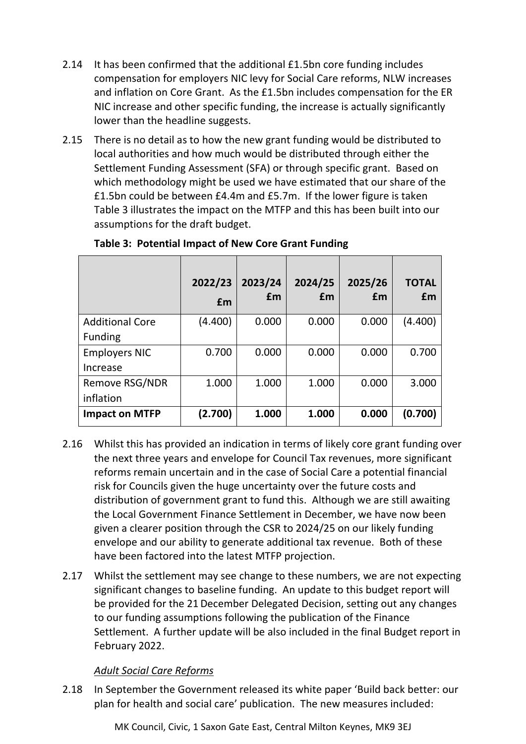- 2.14 It has been confirmed that the additional £1.5bn core funding includes compensation for employers NIC levy for Social Care reforms, NLW increases and inflation on Core Grant. As the £1.5bn includes compensation for the ER NIC increase and other specific funding, the increase is actually significantly lower than the headline suggests.
- 2.15 There is no detail as to how the new grant funding would be distributed to local authorities and how much would be distributed through either the Settlement Funding Assessment (SFA) or through specific grant. Based on which methodology might be used we have estimated that our share of the £1.5bn could be between £4.4m and £5.7m. If the lower figure is taken Table 3 illustrates the impact on the MTFP and this has been built into our assumptions for the draft budget.

|                        | 2022/23<br>£m | 2023/24<br>£m | 2024/25<br>£m | 2025/26<br>£m | <b>TOTAL</b><br>£m |
|------------------------|---------------|---------------|---------------|---------------|--------------------|
| <b>Additional Core</b> | (4.400)       | 0.000         | 0.000         | 0.000         | (4.400)            |
| <b>Funding</b>         |               |               |               |               |                    |
| <b>Employers NIC</b>   | 0.700         | 0.000         | 0.000         | 0.000         | 0.700              |
| Increase               |               |               |               |               |                    |
| Remove RSG/NDR         | 1.000         | 1.000         | 1.000         | 0.000         | 3.000              |
| inflation              |               |               |               |               |                    |
| <b>Impact on MTFP</b>  | (2.700)       | 1.000         | 1.000         | 0.000         | (0.700)            |

## **Table 3: Potential Impact of New Core Grant Funding**

- 2.16 Whilst this has provided an indication in terms of likely core grant funding over the next three years and envelope for Council Tax revenues, more significant reforms remain uncertain and in the case of Social Care a potential financial risk for Councils given the huge uncertainty over the future costs and distribution of government grant to fund this. Although we are still awaiting the Local Government Finance Settlement in December, we have now been given a clearer position through the CSR to 2024/25 on our likely funding envelope and our ability to generate additional tax revenue. Both of these have been factored into the latest MTFP projection.
- 2.17 Whilst the settlement may see change to these numbers, we are not expecting significant changes to baseline funding. An update to this budget report will be provided for the 21 December Delegated Decision, setting out any changes to our funding assumptions following the publication of the Finance Settlement. A further update will be also included in the final Budget report in February 2022.

## *Adult Social Care Reforms*

2.18 In September the Government released its white paper 'Build back better: our plan for health and social care' publication. The new measures included: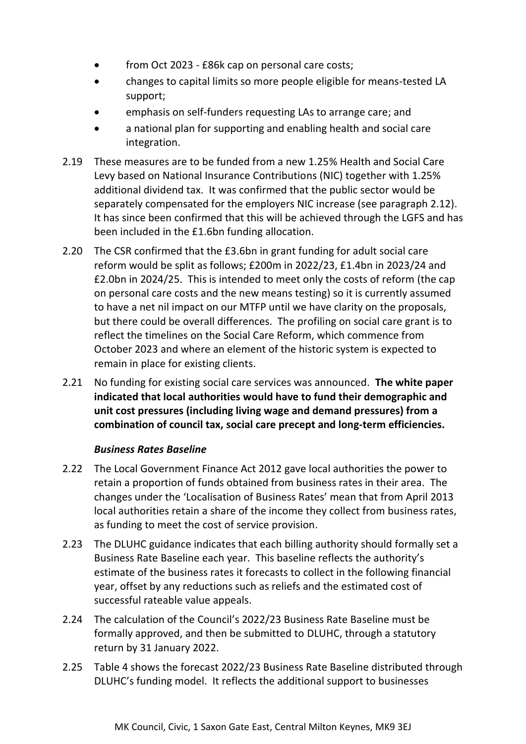- from Oct 2023 £86k cap on personal care costs;
- changes to capital limits so more people eligible for means-tested LA support;
- emphasis on self-funders requesting LAs to arrange care; and
- a national plan for supporting and enabling health and social care integration.
- 2.19 These measures are to be funded from a new 1.25% Health and Social Care Levy based on National Insurance Contributions (NIC) together with 1.25% additional dividend tax. It was confirmed that the public sector would be separately compensated for the employers NIC increase (see paragraph 2.12). It has since been confirmed that this will be achieved through the LGFS and has been included in the £1.6bn funding allocation.
- 2.20 The CSR confirmed that the £3.6bn in grant funding for adult social care reform would be split as follows; £200m in 2022/23, £1.4bn in 2023/24 and £2.0bn in 2024/25. This is intended to meet only the costs of reform (the cap on personal care costs and the new means testing) so it is currently assumed to have a net nil impact on our MTFP until we have clarity on the proposals, but there could be overall differences. The profiling on social care grant is to reflect the timelines on the Social Care Reform, which commence from October 2023 and where an element of the historic system is expected to remain in place for existing clients.
- 2.21 No funding for existing social care services was announced. **The white paper indicated that local authorities would have to fund their demographic and unit cost pressures (including living wage and demand pressures) from a combination of council tax, social care precept and long-term efficiencies.**

## *Business Rates Baseline*

- 2.22 The Local Government Finance Act 2012 gave local authorities the power to retain a proportion of funds obtained from business rates in their area. The changes under the 'Localisation of Business Rates' mean that from April 2013 local authorities retain a share of the income they collect from business rates, as funding to meet the cost of service provision.
- 2.23 The DLUHC guidance indicates that each billing authority should formally set a Business Rate Baseline each year. This baseline reflects the authority's estimate of the business rates it forecasts to collect in the following financial year, offset by any reductions such as reliefs and the estimated cost of successful rateable value appeals.
- 2.24 The calculation of the Council's 2022/23 Business Rate Baseline must be formally approved, and then be submitted to DLUHC, through a statutory return by 31 January 2022.
- 2.25 Table 4 shows the forecast 2022/23 Business Rate Baseline distributed through DLUHC's funding model. It reflects the additional support to businesses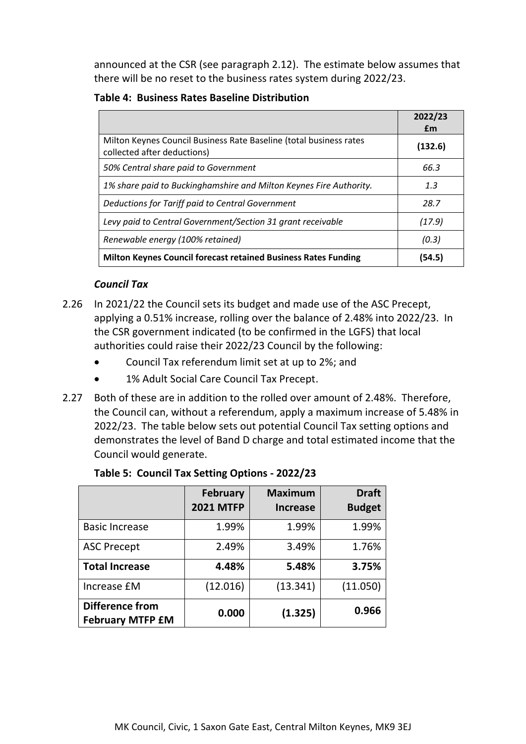announced at the CSR (see paragraph 2.12). The estimate below assumes that there will be no reset to the business rates system during 2022/23.

**Table 4: Business Rates Baseline Distribution**

|                                                                                                   | 2022/23<br>£m |
|---------------------------------------------------------------------------------------------------|---------------|
| Milton Keynes Council Business Rate Baseline (total business rates<br>collected after deductions) | (132.6)       |
| 50% Central share paid to Government                                                              | 66.3          |
| 1% share paid to Buckinghamshire and Milton Keynes Fire Authority.                                | 1.3           |
| Deductions for Tariff paid to Central Government                                                  | 28.7          |
| Levy paid to Central Government/Section 31 grant receivable                                       | (17.9)        |
| Renewable energy (100% retained)                                                                  | (0.3)         |
| <b>Milton Keynes Council forecast retained Business Rates Funding</b>                             | (54.5)        |

## *Council Tax*

- 2.26 In 2021/22 the Council sets its budget and made use of the ASC Precept, applying a 0.51% increase, rolling over the balance of 2.48% into 2022/23. In the CSR government indicated (to be confirmed in the LGFS) that local authorities could raise their 2022/23 Council by the following:
	- Council Tax referendum limit set at up to 2%; and
	- 1% Adult Social Care Council Tax Precept.
- 2.27 Both of these are in addition to the rolled over amount of 2.48%. Therefore, the Council can, without a referendum, apply a maximum increase of 5.48% in 2022/23. The table below sets out potential Council Tax setting options and demonstrates the level of Band D charge and total estimated income that the Council would generate.

|                                                   | <b>February</b><br><b>2021 MTFP</b> | <b>Maximum</b><br><b>Increase</b> | <b>Draft</b><br><b>Budget</b> |
|---------------------------------------------------|-------------------------------------|-----------------------------------|-------------------------------|
| <b>Basic Increase</b>                             | 1.99%                               | 1.99%                             | 1.99%                         |
| <b>ASC Precept</b>                                | 2.49%                               | 3.49%                             | 1.76%                         |
| <b>Total Increase</b>                             | 4.48%                               | 5.48%                             | 3.75%                         |
| Increase £M                                       | (12.016)                            | (13.341)                          | (11.050)                      |
| <b>Difference from</b><br><b>February MTFP £M</b> | 0.000                               | (1.325)                           | 0.966                         |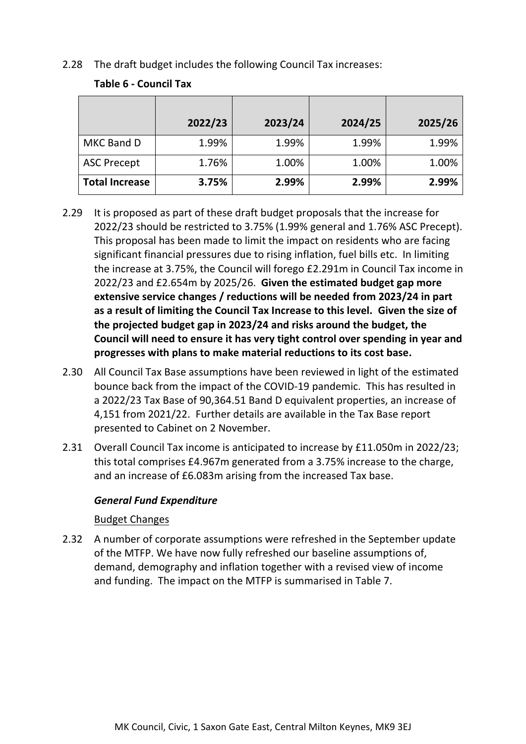2.28 The draft budget includes the following Council Tax increases:

## **Table 6 - Council Tax**

|                       | 2022/23 | 2023/24 | 2024/25 | 2025/26 |
|-----------------------|---------|---------|---------|---------|
| MKC Band D            | 1.99%   | 1.99%   | 1.99%   | 1.99%   |
| <b>ASC Precept</b>    | 1.76%   | 1.00%   | 1.00%   | 1.00%   |
| <b>Total Increase</b> | 3.75%   | 2.99%   | 2.99%   | 2.99%   |

- 2.29 It is proposed as part of these draft budget proposals that the increase for 2022/23 should be restricted to 3.75% (1.99% general and 1.76% ASC Precept). This proposal has been made to limit the impact on residents who are facing significant financial pressures due to rising inflation, fuel bills etc. In limiting the increase at 3.75%, the Council will forego £2.291m in Council Tax income in 2022/23 and £2.654m by 2025/26. **Given the estimated budget gap more extensive service changes / reductions will be needed from 2023/24 in part as a result of limiting the Council Tax Increase to this level. Given the size of the projected budget gap in 2023/24 and risks around the budget, the Council will need to ensure it has very tight control over spending in year and progresses with plans to make material reductions to its cost base.**
- 2.30 All Council Tax Base assumptions have been reviewed in light of the estimated bounce back from the impact of the COVID-19 pandemic. This has resulted in a 2022/23 Tax Base of 90,364.51 Band D equivalent properties, an increase of 4,151 from 2021/22. Further details are available in the Tax Base report presented to Cabinet on 2 November.
- 2.31 Overall Council Tax income is anticipated to increase by £11.050m in 2022/23; this total comprises £4.967m generated from a 3.75% increase to the charge, and an increase of £6.083m arising from the increased Tax base.

#### *General Fund Expenditure*

## Budget Changes

2.32 A number of corporate assumptions were refreshed in the September update of the MTFP. We have now fully refreshed our baseline assumptions of, demand, demography and inflation together with a revised view of income and funding. The impact on the MTFP is summarised in Table 7.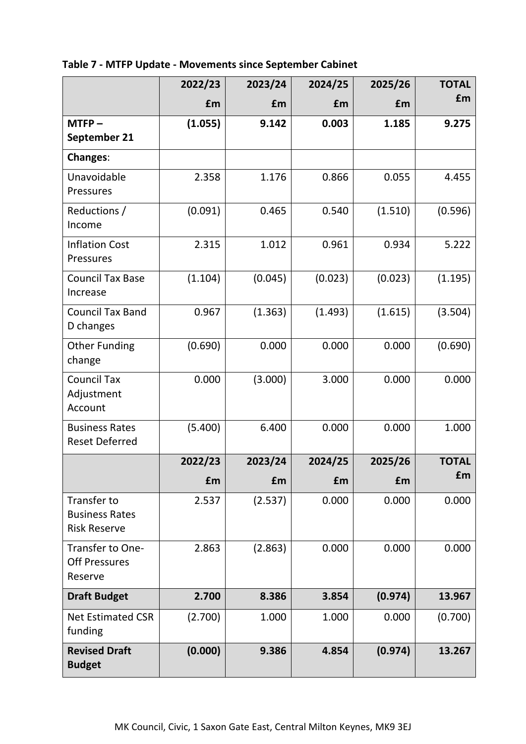|                                                             | 2022/23 | 2023/24 | 2024/25 | 2025/26 | <b>TOTAL</b> |
|-------------------------------------------------------------|---------|---------|---------|---------|--------------|
|                                                             | £m      | £m      | £m      | £m      | £m           |
| $MTFP -$                                                    | (1.055) | 9.142   | 0.003   | 1.185   | 9.275        |
| September 21                                                |         |         |         |         |              |
| <b>Changes:</b>                                             |         |         |         |         |              |
| Unavoidable<br>Pressures                                    | 2.358   | 1.176   | 0.866   | 0.055   | 4.455        |
| Reductions /<br>Income                                      | (0.091) | 0.465   | 0.540   | (1.510) | (0.596)      |
| <b>Inflation Cost</b><br>Pressures                          | 2.315   | 1.012   | 0.961   | 0.934   | 5.222        |
| <b>Council Tax Base</b><br>Increase                         | (1.104) | (0.045) | (0.023) | (0.023) | (1.195)      |
| <b>Council Tax Band</b><br>D changes                        | 0.967   | (1.363) | (1.493) | (1.615) | (3.504)      |
| <b>Other Funding</b><br>change                              | (0.690) | 0.000   | 0.000   | 0.000   | (0.690)      |
| <b>Council Tax</b><br>Adjustment<br>Account                 | 0.000   | (3.000) | 3.000   | 0.000   | 0.000        |
| <b>Business Rates</b><br><b>Reset Deferred</b>              | (5.400) | 6.400   | 0.000   | 0.000   | 1.000        |
|                                                             | 2022/23 | 2023/24 | 2024/25 | 2025/26 | <b>TOTAL</b> |
|                                                             | £m      | £m      | £m      | £m      | £m           |
| Transfer to<br><b>Business Rates</b><br><b>Risk Reserve</b> | 2.537   | (2.537) | 0.000   | 0.000   | 0.000        |
| Transfer to One-<br><b>Off Pressures</b><br>Reserve         | 2.863   | (2.863) | 0.000   | 0.000   | 0.000        |
| <b>Draft Budget</b>                                         | 2.700   | 8.386   | 3.854   | (0.974) | 13.967       |
| <b>Net Estimated CSR</b><br>funding                         | (2.700) | 1.000   | 1.000   | 0.000   | (0.700)      |
| <b>Revised Draft</b><br><b>Budget</b>                       | (0.000) | 9.386   | 4.854   | (0.974) | 13.267       |

**Table 7 - MTFP Update - Movements since September Cabinet**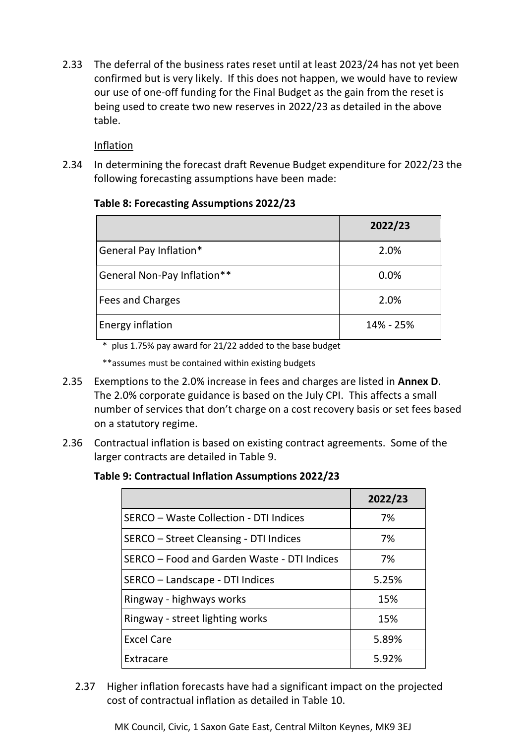2.33 The deferral of the business rates reset until at least 2023/24 has not yet been confirmed but is very likely. If this does not happen, we would have to review our use of one-off funding for the Final Budget as the gain from the reset is being used to create two new reserves in 2022/23 as detailed in the above table.

Inflation

2.34 In determining the forecast draft Revenue Budget expenditure for 2022/23 the following forecasting assumptions have been made:

## **Table 8: Forecasting Assumptions 2022/23**

|                             | 2022/23   |
|-----------------------------|-----------|
| General Pay Inflation*      | 2.0%      |
| General Non-Pay Inflation** | 0.0%      |
| Fees and Charges            | 2.0%      |
| Energy inflation            | 14% - 25% |

\* plus 1.75% pay award for 21/22 added to the base budget

\*\*assumes must be contained within existing budgets

- 2.35 Exemptions to the 2.0% increase in fees and charges are listed in **Annex D**. The 2.0% corporate guidance is based on the July CPI. This affects a small number of services that don't charge on a cost recovery basis or set fees based on a statutory regime.
- 2.36 Contractual inflation is based on existing contract agreements. Some of the larger contracts are detailed in Table 9.

## **Table 9: Contractual Inflation Assumptions 2022/23**

|                                             | 2022/23 |
|---------------------------------------------|---------|
| SERCO - Waste Collection - DTI Indices      | 7%      |
| SERCO - Street Cleansing - DTI Indices      | 7%      |
| SERCO - Food and Garden Waste - DTI Indices | 7%      |
| SERCO - Landscape - DTI Indices             | 5.25%   |
| Ringway - highways works                    | 15%     |
| Ringway - street lighting works             | 15%     |
| <b>Excel Care</b>                           | 5.89%   |
| Extracare                                   | 5.92%   |

2.37 Higher inflation forecasts have had a significant impact on the projected cost of contractual inflation as detailed in Table 10.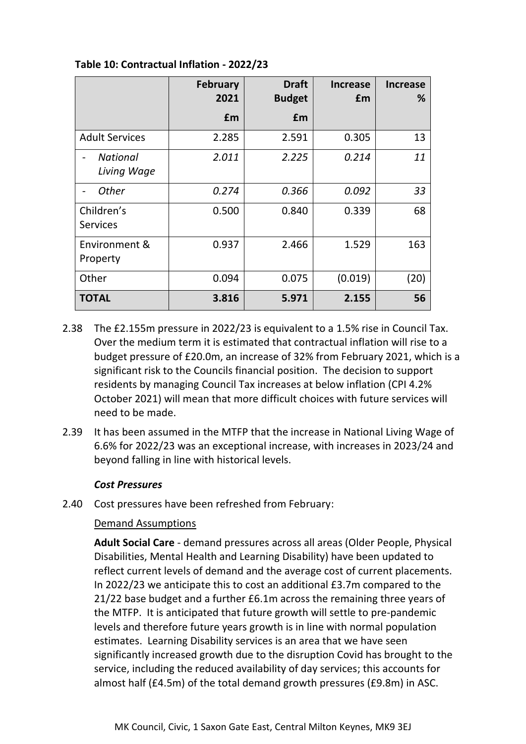|                                | <b>February</b><br>2021 | <b>Draft</b><br><b>Budget</b> | <b>Increase</b><br>£m | <b>Increase</b><br>% |
|--------------------------------|-------------------------|-------------------------------|-----------------------|----------------------|
|                                | £m                      | £m                            |                       |                      |
| <b>Adult Services</b>          | 2.285                   | 2.591                         | 0.305                 | 13                   |
| <b>National</b><br>Living Wage | 2.011                   | 2.225                         | 0.214                 | 11                   |
| Other                          | 0.274                   | 0.366                         | 0.092                 | 33                   |
| Children's<br><b>Services</b>  | 0.500                   | 0.840                         | 0.339                 | 68                   |
| Environment &<br>Property      | 0.937                   | 2.466                         | 1.529                 | 163                  |
| Other                          | 0.094                   | 0.075                         | (0.019)               | (20)                 |
| <b>TOTAL</b>                   | 3.816                   | 5.971                         | 2.155                 | 56                   |

**Table 10: Contractual Inflation - 2022/23**

- 2.38 The £2.155m pressure in 2022/23 is equivalent to a 1.5% rise in Council Tax. Over the medium term it is estimated that contractual inflation will rise to a budget pressure of £20.0m, an increase of 32% from February 2021, which is a significant risk to the Councils financial position. The decision to support residents by managing Council Tax increases at below inflation (CPI 4.2% October 2021) will mean that more difficult choices with future services will need to be made.
- 2.39 It has been assumed in the MTFP that the increase in National Living Wage of 6.6% for 2022/23 was an exceptional increase, with increases in 2023/24 and beyond falling in line with historical levels.

#### *Cost Pressures*

2.40 Cost pressures have been refreshed from February:

## Demand Assumptions

**Adult Social Care** - demand pressures across all areas (Older People, Physical Disabilities, Mental Health and Learning Disability) have been updated to reflect current levels of demand and the average cost of current placements. In 2022/23 we anticipate this to cost an additional £3.7m compared to the 21/22 base budget and a further £6.1m across the remaining three years of the MTFP. It is anticipated that future growth will settle to pre-pandemic levels and therefore future years growth is in line with normal population estimates. Learning Disability services is an area that we have seen significantly increased growth due to the disruption Covid has brought to the service, including the reduced availability of day services; this accounts for almost half (£4.5m) of the total demand growth pressures (£9.8m) in ASC.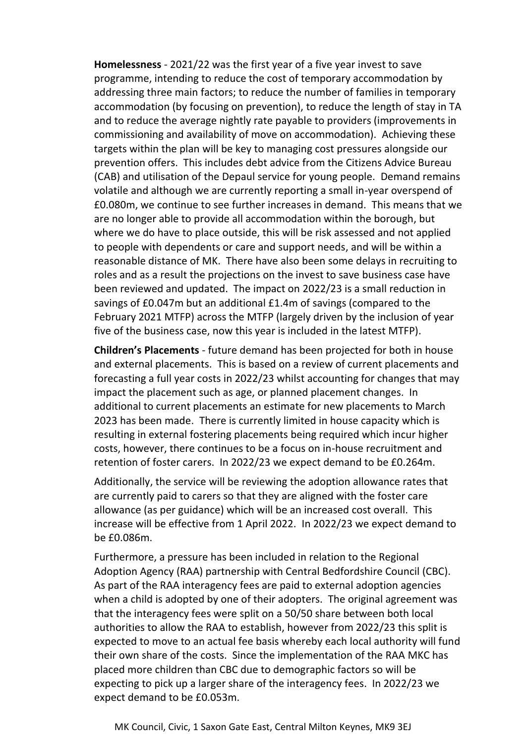**Homelessness** - 2021/22 was the first year of a five year invest to save programme, intending to reduce the cost of temporary accommodation by addressing three main factors; to reduce the number of families in temporary accommodation (by focusing on prevention), to reduce the length of stay in TA and to reduce the average nightly rate payable to providers (improvements in commissioning and availability of move on accommodation). Achieving these targets within the plan will be key to managing cost pressures alongside our prevention offers. This includes debt advice from the Citizens Advice Bureau (CAB) and utilisation of the Depaul service for young people. Demand remains volatile and although we are currently reporting a small in-year overspend of £0.080m, we continue to see further increases in demand. This means that we are no longer able to provide all accommodation within the borough, but where we do have to place outside, this will be risk assessed and not applied to people with dependents or care and support needs, and will be within a reasonable distance of MK. There have also been some delays in recruiting to roles and as a result the projections on the invest to save business case have been reviewed and updated. The impact on 2022/23 is a small reduction in savings of £0.047m but an additional £1.4m of savings (compared to the February 2021 MTFP) across the MTFP (largely driven by the inclusion of year five of the business case, now this year is included in the latest MTFP).

**Children's Placements** - future demand has been projected for both in house and external placements. This is based on a review of current placements and forecasting a full year costs in 2022/23 whilst accounting for changes that may impact the placement such as age, or planned placement changes. In additional to current placements an estimate for new placements to March 2023 has been made. There is currently limited in house capacity which is resulting in external fostering placements being required which incur higher costs, however, there continues to be a focus on in-house recruitment and retention of foster carers. In 2022/23 we expect demand to be £0.264m.

Additionally, the service will be reviewing the adoption allowance rates that are currently paid to carers so that they are aligned with the foster care allowance (as per guidance) which will be an increased cost overall. This increase will be effective from 1 April 2022. In 2022/23 we expect demand to be £0.086m.

Furthermore, a pressure has been included in relation to the Regional Adoption Agency (RAA) partnership with Central Bedfordshire Council (CBC). As part of the RAA interagency fees are paid to external adoption agencies when a child is adopted by one of their adopters. The original agreement was that the interagency fees were split on a 50/50 share between both local authorities to allow the RAA to establish, however from 2022/23 this split is expected to move to an actual fee basis whereby each local authority will fund their own share of the costs. Since the implementation of the RAA MKC has placed more children than CBC due to demographic factors so will be expecting to pick up a larger share of the interagency fees. In 2022/23 we expect demand to be £0.053m.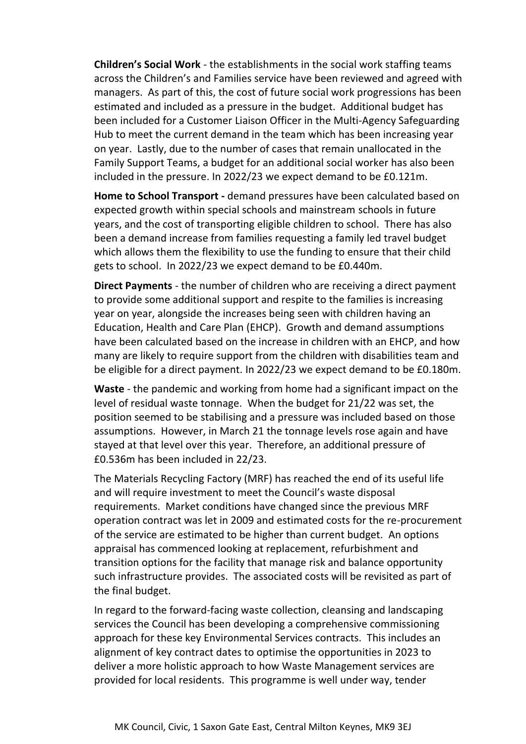**Children's Social Work** - the establishments in the social work staffing teams across the Children's and Families service have been reviewed and agreed with managers. As part of this, the cost of future social work progressions has been estimated and included as a pressure in the budget. Additional budget has been included for a Customer Liaison Officer in the Multi-Agency Safeguarding Hub to meet the current demand in the team which has been increasing year on year. Lastly, due to the number of cases that remain unallocated in the Family Support Teams, a budget for an additional social worker has also been included in the pressure. In 2022/23 we expect demand to be £0.121m.

**Home to School Transport -** demand pressures have been calculated based on expected growth within special schools and mainstream schools in future years, and the cost of transporting eligible children to school. There has also been a demand increase from families requesting a family led travel budget which allows them the flexibility to use the funding to ensure that their child gets to school. In 2022/23 we expect demand to be £0.440m.

**Direct Payments** - the number of children who are receiving a direct payment to provide some additional support and respite to the families is increasing year on year, alongside the increases being seen with children having an Education, Health and Care Plan (EHCP). Growth and demand assumptions have been calculated based on the increase in children with an EHCP, and how many are likely to require support from the children with disabilities team and be eligible for a direct payment. In 2022/23 we expect demand to be £0.180m.

**Waste** - the pandemic and working from home had a significant impact on the level of residual waste tonnage. When the budget for 21/22 was set, the position seemed to be stabilising and a pressure was included based on those assumptions. However, in March 21 the tonnage levels rose again and have stayed at that level over this year. Therefore, an additional pressure of £0.536m has been included in 22/23.

The Materials Recycling Factory (MRF) has reached the end of its useful life and will require investment to meet the Council's waste disposal requirements. Market conditions have changed since the previous MRF operation contract was let in 2009 and estimated costs for the re-procurement of the service are estimated to be higher than current budget. An options appraisal has commenced looking at replacement, refurbishment and transition options for the facility that manage risk and balance opportunity such infrastructure provides. The associated costs will be revisited as part of the final budget.

In regard to the forward-facing waste collection, cleansing and landscaping services the Council has been developing a comprehensive commissioning approach for these key Environmental Services contracts. This includes an alignment of key contract dates to optimise the opportunities in 2023 to deliver a more holistic approach to how Waste Management services are provided for local residents. This programme is well under way, tender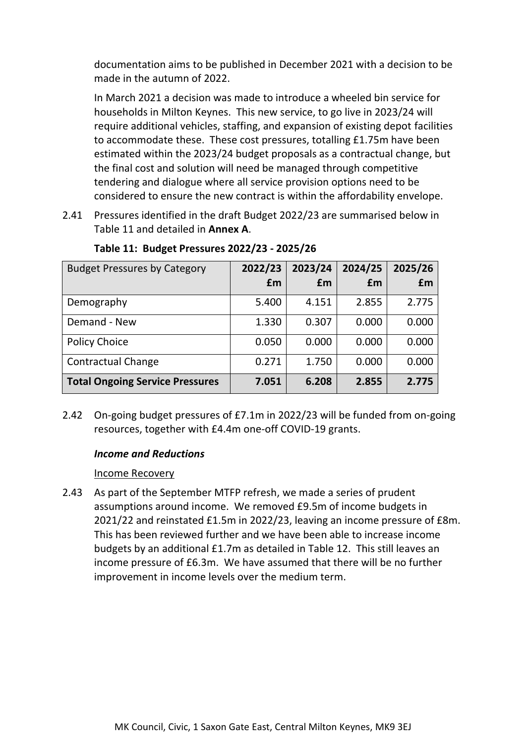documentation aims to be published in December 2021 with a decision to be made in the autumn of 2022.

In March 2021 a decision was made to introduce a wheeled bin service for households in Milton Keynes. This new service, to go live in 2023/24 will require additional vehicles, staffing, and expansion of existing depot facilities to accommodate these. These cost pressures, totalling £1.75m have been estimated within the 2023/24 budget proposals as a contractual change, but the final cost and solution will need be managed through competitive tendering and dialogue where all service provision options need to be considered to ensure the new contract is within the affordability envelope.

2.41 Pressures identified in the draft Budget 2022/23 are summarised below in Table 11 and detailed in **Annex A**.

| <b>Budget Pressures by Category</b>    | 2022/23<br>£m | 2023/24<br>£m | 2024/25<br>£m | 2025/26<br>£m |
|----------------------------------------|---------------|---------------|---------------|---------------|
| Demography                             | 5.400         | 4.151         | 2.855         | 2.775         |
| Demand - New                           | 1.330         | 0.307         | 0.000         | 0.000         |
| <b>Policy Choice</b>                   | 0.050         | 0.000         | 0.000         | 0.000         |
| <b>Contractual Change</b>              | 0.271         | 1.750         | 0.000         | 0.000         |
| <b>Total Ongoing Service Pressures</b> | 7.051         | 6.208         | 2.855         | 2.775         |

**Table 11: Budget Pressures 2022/23 - 2025/26**

2.42 On-going budget pressures of £7.1m in 2022/23 will be funded from on-going resources, together with £4.4m one-off COVID-19 grants.

## *Income and Reductions*

#### Income Recovery

2.43 As part of the September MTFP refresh, we made a series of prudent assumptions around income. We removed £9.5m of income budgets in 2021/22 and reinstated £1.5m in 2022/23, leaving an income pressure of £8m. This has been reviewed further and we have been able to increase income budgets by an additional £1.7m as detailed in Table 12. This still leaves an income pressure of £6.3m. We have assumed that there will be no further improvement in income levels over the medium term.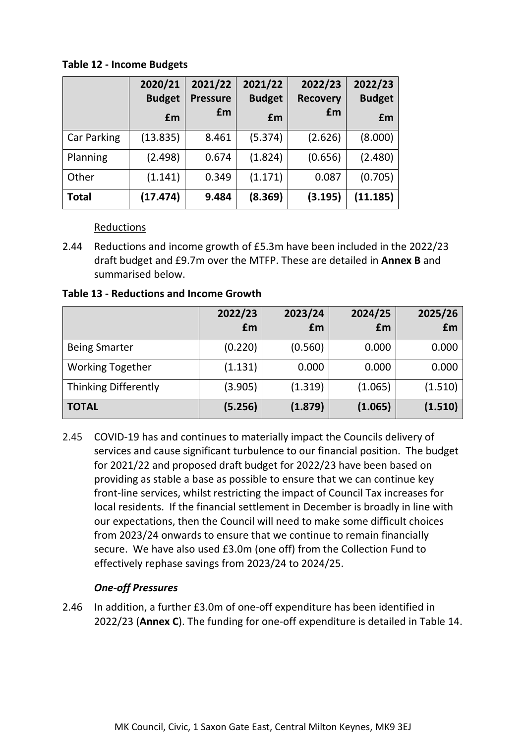**Table 12 - Income Budgets**

|             | 2020/21<br><b>Budget</b> | 2021/22<br><b>Pressure</b> | 2021/22<br><b>Budget</b> | 2022/23<br><b>Recovery</b> | 2022/23<br><b>Budget</b> |
|-------------|--------------------------|----------------------------|--------------------------|----------------------------|--------------------------|
|             | £m                       | £m                         | £m                       | £m                         | £m                       |
| Car Parking | (13.835)                 | 8.461                      | (5.374)                  | (2.626)                    | (8.000)                  |
| Planning    | (2.498)                  | 0.674                      | (1.824)                  | (0.656)                    | (2.480)                  |
| Other       | (1.141)                  | 0.349                      | (1.171)                  | 0.087                      | (0.705)                  |
| Total       | (17.474)                 | 9.484                      | (8.369)                  | (3.195)                    | (11.185)                 |

Reductions

2.44 Reductions and income growth of £5.3m have been included in the 2022/23 draft budget and £9.7m over the MTFP. These are detailed in **Annex B** and summarised below.

**Table 13 - Reductions and Income Growth**

|                             | 2022/23<br>£m | 2023/24<br>£m | 2024/25<br>£m | 2025/26<br>£m |
|-----------------------------|---------------|---------------|---------------|---------------|
| <b>Being Smarter</b>        | (0.220)       | (0.560)       | 0.000         | 0.000         |
| <b>Working Together</b>     | (1.131)       | 0.000         | 0.000         | 0.000         |
| <b>Thinking Differently</b> | (3.905)       | (1.319)       | (1.065)       | (1.510)       |
| <b>TOTAL</b>                | (5.256)       | (1.879)       | (1.065)       | (1.510)       |

2.45 COVID-19 has and continues to materially impact the Councils delivery of services and cause significant turbulence to our financial position. The budget for 2021/22 and proposed draft budget for 2022/23 have been based on providing as stable a base as possible to ensure that we can continue key front-line services, whilst restricting the impact of Council Tax increases for local residents. If the financial settlement in December is broadly in line with our expectations, then the Council will need to make some difficult choices from 2023/24 onwards to ensure that we continue to remain financially secure. We have also used £3.0m (one off) from the Collection Fund to effectively rephase savings from 2023/24 to 2024/25.

## *One-off Pressures*

2.46 In addition, a further £3.0m of one-off expenditure has been identified in 2022/23 (**Annex C**). The funding for one-off expenditure is detailed in Table 14.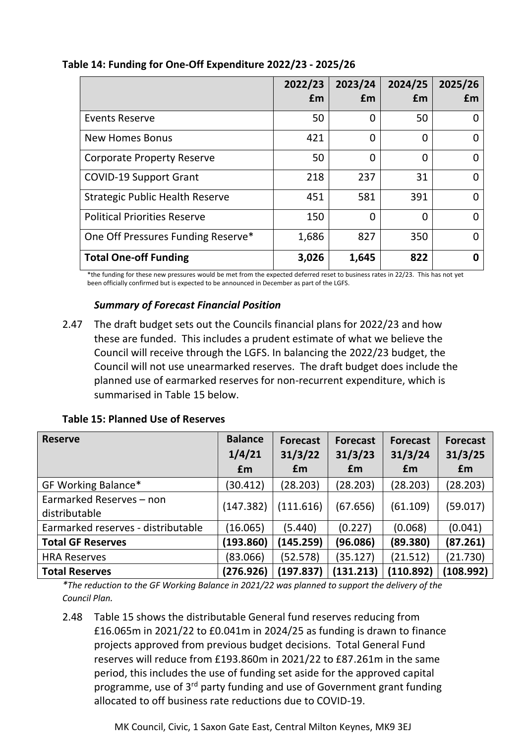|                                        | 2022/23 | 2023/24 | 2024/25 | 2025/26 |
|----------------------------------------|---------|---------|---------|---------|
|                                        | £m      | £m      | £m      | £m      |
| <b>Events Reserve</b>                  | 50      | 0       | 50      |         |
| <b>New Homes Bonus</b>                 | 421     | 0       | 0       |         |
| <b>Corporate Property Reserve</b>      | 50      | 0       | 0       | O       |
| <b>COVID-19 Support Grant</b>          | 218     | 237     | 31      | 0       |
| <b>Strategic Public Health Reserve</b> | 451     | 581     | 391     | 0       |
| <b>Political Priorities Reserve</b>    | 150     | 0       | 0       | 0       |
| One Off Pressures Funding Reserve*     | 1,686   | 827     | 350     |         |
| <b>Total One-off Funding</b>           | 3,026   | 1,645   | 822     | n       |

## **Table 14: Funding for One-Off Expenditure 2022/23 - 2025/26**

\*the funding for these new pressures would be met from the expected deferred reset to business rates in 22/23. This has not yet been officially confirmed but is expected to be announced in December as part of the LGFS.

#### *Summary of Forecast Financial Position*

2.47 The draft budget sets out the Councils financial plans for 2022/23 and how these are funded. This includes a prudent estimate of what we believe the Council will receive through the LGFS. In balancing the 2022/23 budget, the Council will not use unearmarked reserves. The draft budget does include the planned use of earmarked reserves for non-recurrent expenditure, which is summarised in Table 15 below.

|  |  |  |  | <b>Table 15: Planned Use of Reserves</b> |
|--|--|--|--|------------------------------------------|
|--|--|--|--|------------------------------------------|

| <b>Reserve</b>                            | <b>Balance</b><br>1/4/21 | <b>Forecast</b><br>31/3/22 | <b>Forecast</b><br>31/3/23 | <b>Forecast</b><br>31/3/24 | <b>Forecast</b><br>31/3/25 |
|-------------------------------------------|--------------------------|----------------------------|----------------------------|----------------------------|----------------------------|
|                                           | £m                       | £m                         | £m                         | £m                         | £m                         |
| GF Working Balance*                       | (30.412)                 | (28.203)                   | (28.203)                   | (28.203)                   | (28.203)                   |
| Earmarked Reserves - non<br>distributable | (147.382)                | (111.616)                  | (67.656)                   | (61.109)                   | (59.017)                   |
| Earmarked reserves - distributable        | (16.065)                 | (5.440)                    | (0.227)                    | (0.068)                    | (0.041)                    |
| <b>Total GF Reserves</b>                  | (193.860)                | (145.259)                  | (96.086)                   | (89.380)                   | (87.261)                   |
| <b>HRA Reserves</b>                       | (83.066)                 | (52.578)                   | (35.127)                   | (21.512)                   | (21.730)                   |
| <b>Total Reserves</b>                     | (276.926)                | (197.837)                  | (131.213)                  | (110.892)                  | (108.992)                  |

*\*The reduction to the GF Working Balance in 2021/22 was planned to support the delivery of the Council Plan.*

2.48 Table 15 shows the distributable General fund reserves reducing from £16.065m in 2021/22 to £0.041m in 2024/25 as funding is drawn to finance projects approved from previous budget decisions. Total General Fund reserves will reduce from £193.860m in 2021/22 to £87.261m in the same period, this includes the use of funding set aside for the approved capital programme, use of 3<sup>rd</sup> party funding and use of Government grant funding allocated to off business rate reductions due to COVID-19.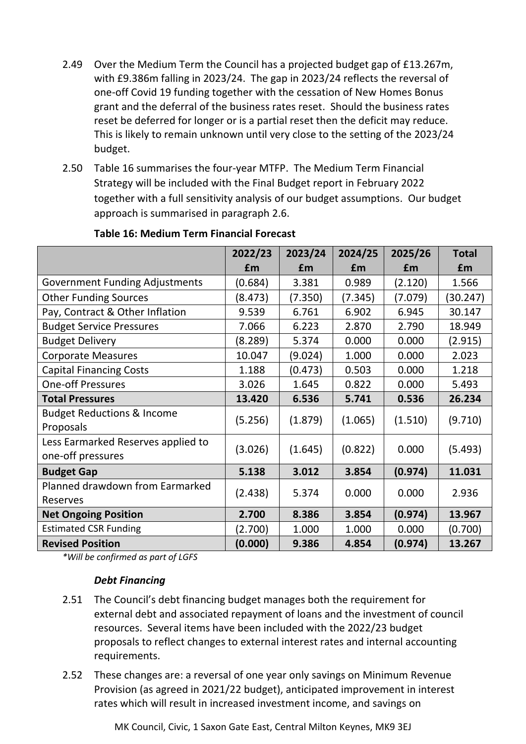- 2.49 Over the Medium Term the Council has a projected budget gap of £13.267m, with £9.386m falling in 2023/24. The gap in 2023/24 reflects the reversal of one-off Covid 19 funding together with the cessation of New Homes Bonus grant and the deferral of the business rates reset. Should the business rates reset be deferred for longer or is a partial reset then the deficit may reduce. This is likely to remain unknown until very close to the setting of the 2023/24 budget.
- 2.50 Table 16 summarises the four-year MTFP. The Medium Term Financial Strategy will be included with the Final Budget report in February 2022 together with a full sensitivity analysis of our budget assumptions. Our budget approach is summarised in paragraph 2.6.

|                                       | 2022/23 | 2023/24 | 2024/25 | 2025/26 | <b>Total</b> |
|---------------------------------------|---------|---------|---------|---------|--------------|
|                                       | £m      | £m      | £m      | £m      | £m           |
| <b>Government Funding Adjustments</b> | (0.684) | 3.381   | 0.989   | (2.120) | 1.566        |
| <b>Other Funding Sources</b>          | (8.473) | (7.350) | (7.345) | (7.079) | (30.247)     |
| Pay, Contract & Other Inflation       | 9.539   | 6.761   | 6.902   | 6.945   | 30.147       |
| <b>Budget Service Pressures</b>       | 7.066   | 6.223   | 2.870   | 2.790   | 18.949       |
| <b>Budget Delivery</b>                | (8.289) | 5.374   | 0.000   | 0.000   | (2.915)      |
| <b>Corporate Measures</b>             | 10.047  | (9.024) | 1.000   | 0.000   | 2.023        |
| <b>Capital Financing Costs</b>        | 1.188   | (0.473) | 0.503   | 0.000   | 1.218        |
| <b>One-off Pressures</b>              | 3.026   | 1.645   | 0.822   | 0.000   | 5.493        |
| <b>Total Pressures</b>                | 13.420  | 6.536   | 5.741   | 0.536   | 26.234       |
| <b>Budget Reductions &amp; Income</b> | (5.256) | (1.879) | (1.065) | (1.510) | (9.710)      |
| Proposals                             |         |         |         |         |              |
| Less Earmarked Reserves applied to    | (3.026) | (1.645) | (0.822) | 0.000   | (5.493)      |
| one-off pressures                     |         |         |         |         |              |
| <b>Budget Gap</b>                     | 5.138   | 3.012   | 3.854   | (0.974) | 11.031       |
| Planned drawdown from Earmarked       | (2.438) | 5.374   | 0.000   | 0.000   | 2.936        |
| Reserves                              |         |         |         |         |              |
| <b>Net Ongoing Position</b>           | 2.700   | 8.386   | 3.854   | (0.974) | 13.967       |
| <b>Estimated CSR Funding</b>          | (2.700) | 1.000   | 1.000   | 0.000   | (0.700)      |
| <b>Revised Position</b>               | (0.000) | 9.386   | 4.854   | (0.974) | 13.267       |

#### **Table 16: Medium Term Financial Forecast**

*\*Will be confirmed as part of LGFS*

#### *Debt Financing*

- 2.51 The Council's debt financing budget manages both the requirement for external debt and associated repayment of loans and the investment of council resources. Several items have been included with the 2022/23 budget proposals to reflect changes to external interest rates and internal accounting requirements.
- 2.52 These changes are: a reversal of one year only savings on Minimum Revenue Provision (as agreed in 2021/22 budget), anticipated improvement in interest rates which will result in increased investment income, and savings on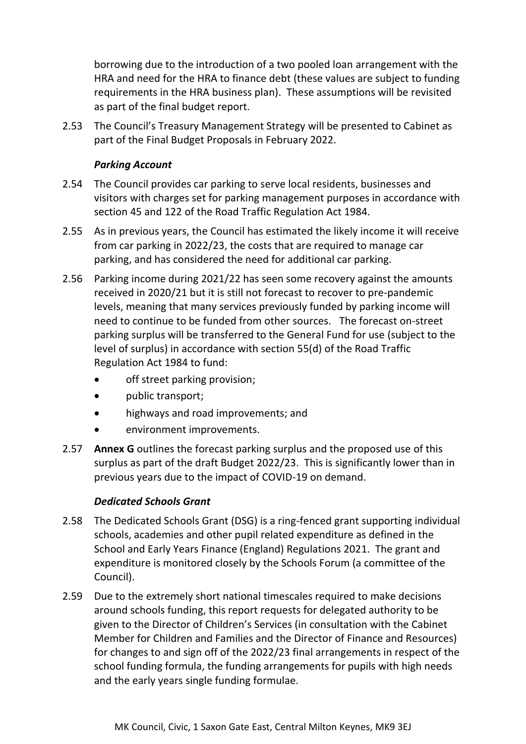borrowing due to the introduction of a two pooled loan arrangement with the HRA and need for the HRA to finance debt (these values are subject to funding requirements in the HRA business plan). These assumptions will be revisited as part of the final budget report.

2.53 The Council's Treasury Management Strategy will be presented to Cabinet as part of the Final Budget Proposals in February 2022.

## *Parking Account*

- 2.54 The Council provides car parking to serve local residents, businesses and visitors with charges set for parking management purposes in accordance with section 45 and 122 of the Road Traffic Regulation Act 1984.
- 2.55 As in previous years, the Council has estimated the likely income it will receive from car parking in 2022/23, the costs that are required to manage car parking, and has considered the need for additional car parking.
- 2.56 Parking income during 2021/22 has seen some recovery against the amounts received in 2020/21 but it is still not forecast to recover to pre-pandemic levels, meaning that many services previously funded by parking income will need to continue to be funded from other sources. The forecast on-street parking surplus will be transferred to the General Fund for use (subject to the level of surplus) in accordance with section 55(d) of the Road Traffic Regulation Act 1984 to fund:
	- off street parking provision;
	- public transport;
	- highways and road improvements; and
	- environment improvements.
- 2.57 **Annex G** outlines the forecast parking surplus and the proposed use of this surplus as part of the draft Budget 2022/23. This is significantly lower than in previous years due to the impact of COVID-19 on demand.

## *Dedicated Schools Grant*

- 2.58 The Dedicated Schools Grant (DSG) is a ring-fenced grant supporting individual schools, academies and other pupil related expenditure as defined in the School and Early Years Finance (England) Regulations 2021. The grant and expenditure is monitored closely by the Schools Forum (a committee of the Council).
- 2.59 Due to the extremely short national timescales required to make decisions around schools funding, this report requests for delegated authority to be given to the Director of Children's Services (in consultation with the Cabinet Member for Children and Families and the Director of Finance and Resources) for changes to and sign off of the 2022/23 final arrangements in respect of the school funding formula, the funding arrangements for pupils with high needs and the early years single funding formulae.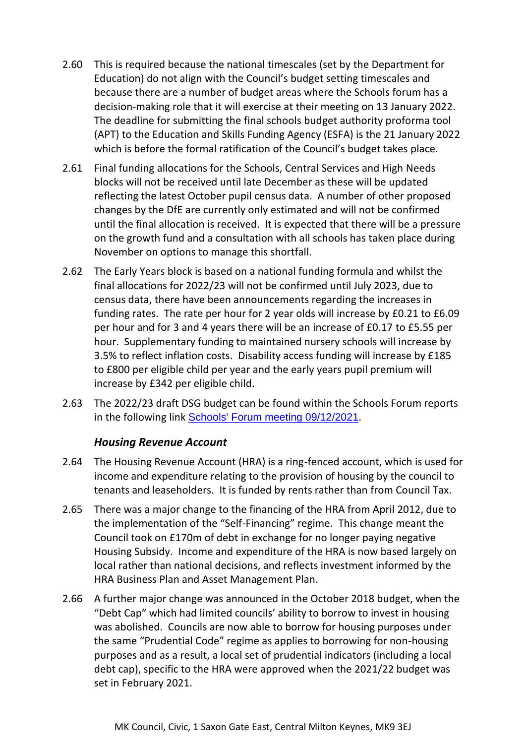- 2.60 This is required because the national timescales (set by the Department for Education) do not align with the Council's budget setting timescales and because there are a number of budget areas where the Schools forum has a decision-making role that it will exercise at their meeting on 13 January 2022. The deadline for submitting the final schools budget authority proforma tool (APT) to the Education and Skills Funding Agency (ESFA) is the 21 January 2022 which is before the formal ratification of the Council's budget takes place.
- 2.61 Final funding allocations for the Schools, Central Services and High Needs blocks will not be received until late December as these will be updated reflecting the latest October pupil census data. A number of other proposed changes by the DfE are currently only estimated and will not be confirmed until the final allocation is received. It is expected that there will be a pressure on the growth fund and a consultation with all schools has taken place during November on options to manage this shortfall.
- 2.62 The Early Years block is based on a national funding formula and whilst the final allocations for 2022/23 will not be confirmed until July 2023, due to census data, there have been announcements regarding the increases in funding rates. The rate per hour for 2 year olds will increase by £0.21 to £6.09 per hour and for 3 and 4 years there will be an increase of £0.17 to £5.55 per hour. Supplementary funding to maintained nursery schools will increase by 3.5% to reflect inflation costs. Disability access funding will increase by £185 to £800 per eligible child per year and the early years pupil premium will increase by £342 per eligible child.
- 2.63 The 2022/23 draft DSG budget can be found within the Schools Forum reports in the following link [Schools' Forum meeting 09/12/2021](http://milton-keynes.cmis.uk.com/milton-keynes/Calendar/tabid/70/ctl/ViewMeetingPublic/mid/397/Meeting/6965/Committee/1430/Default.aspx).

## *Housing Revenue Account*

- 2.64 The Housing Revenue Account (HRA) is a ring-fenced account, which is used for income and expenditure relating to the provision of housing by the council to tenants and leaseholders. It is funded by rents rather than from Council Tax.
- 2.65 There was a major change to the financing of the HRA from April 2012, due to the implementation of the "Self-Financing" regime. This change meant the Council took on £170m of debt in exchange for no longer paying negative Housing Subsidy. Income and expenditure of the HRA is now based largely on local rather than national decisions, and reflects investment informed by the HRA Business Plan and Asset Management Plan.
- 2.66 A further major change was announced in the October 2018 budget, when the "Debt Cap" which had limited councils' ability to borrow to invest in housing was abolished. Councils are now able to borrow for housing purposes under the same "Prudential Code" regime as applies to borrowing for non-housing purposes and as a result, a local set of prudential indicators (including a local debt cap), specific to the HRA were approved when the 2021/22 budget was set in February 2021.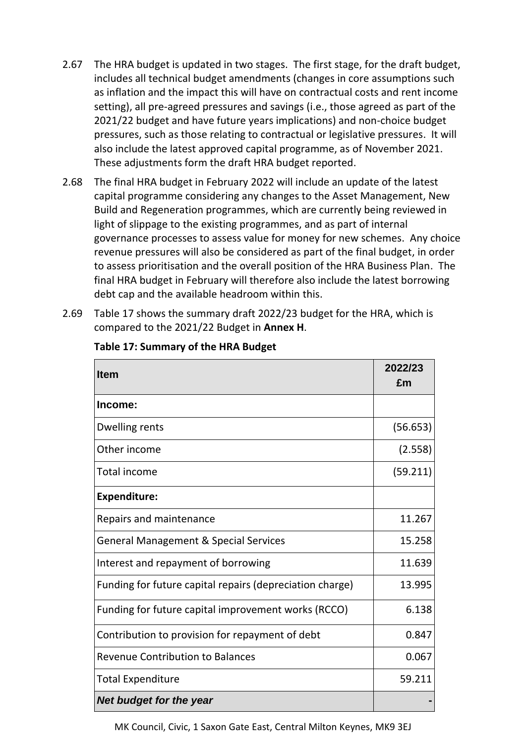- 2.67 The HRA budget is updated in two stages. The first stage, for the draft budget, includes all technical budget amendments (changes in core assumptions such as inflation and the impact this will have on contractual costs and rent income setting), all pre-agreed pressures and savings (i.e., those agreed as part of the 2021/22 budget and have future years implications) and non-choice budget pressures, such as those relating to contractual or legislative pressures. It will also include the latest approved capital programme, as of November 2021. These adjustments form the draft HRA budget reported.
- 2.68 The final HRA budget in February 2022 will include an update of the latest capital programme considering any changes to the Asset Management, New Build and Regeneration programmes, which are currently being reviewed in light of slippage to the existing programmes, and as part of internal governance processes to assess value for money for new schemes. Any choice revenue pressures will also be considered as part of the final budget, in order to assess prioritisation and the overall position of the HRA Business Plan. The final HRA budget in February will therefore also include the latest borrowing debt cap and the available headroom within this.
- 2.69 Table 17 shows the summary draft 2022/23 budget for the HRA, which is compared to the 2021/22 Budget in **Annex H**.

| <b>Item</b>                                              | 2022/23<br>£m |
|----------------------------------------------------------|---------------|
| Income:                                                  |               |
| Dwelling rents                                           | (56.653)      |
| Other income                                             | (2.558)       |
| <b>Total income</b>                                      | (59.211)      |
| <b>Expenditure:</b>                                      |               |
| Repairs and maintenance                                  | 11.267        |
| <b>General Management &amp; Special Services</b>         | 15.258        |
| Interest and repayment of borrowing                      | 11.639        |
| Funding for future capital repairs (depreciation charge) | 13.995        |
| Funding for future capital improvement works (RCCO)      | 6.138         |
| Contribution to provision for repayment of debt          | 0.847         |
| <b>Revenue Contribution to Balances</b>                  | 0.067         |
| <b>Total Expenditure</b>                                 | 59.211        |
| Net budget for the year                                  |               |

#### **Table 17: Summary of the HRA Budget**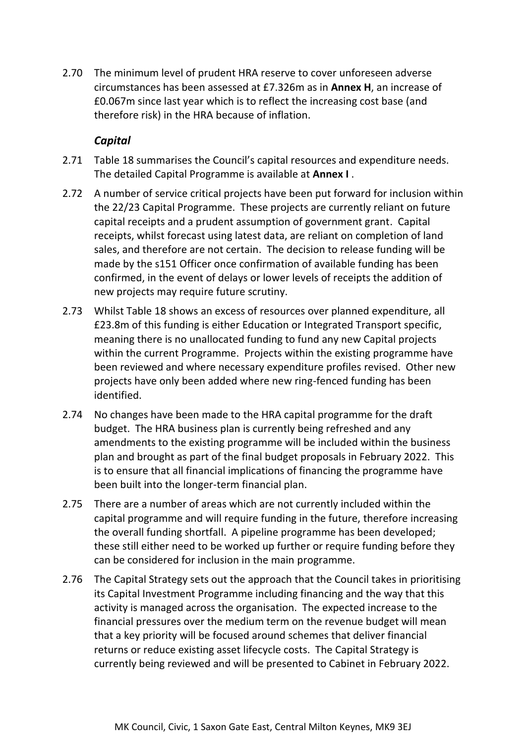2.70 The minimum level of prudent HRA reserve to cover unforeseen adverse circumstances has been assessed at £7.326m as in **Annex H**, an increase of £0.067m since last year which is to reflect the increasing cost base (and therefore risk) in the HRA because of inflation.

## *Capital*

- 2.71 Table 18 summarises the Council's capital resources and expenditure needs. The detailed Capital Programme is available at **Annex I** .
- 2.72 A number of service critical projects have been put forward for inclusion within the 22/23 Capital Programme. These projects are currently reliant on future capital receipts and a prudent assumption of government grant. Capital receipts, whilst forecast using latest data, are reliant on completion of land sales, and therefore are not certain. The decision to release funding will be made by the s151 Officer once confirmation of available funding has been confirmed, in the event of delays or lower levels of receipts the addition of new projects may require future scrutiny.
- 2.73 Whilst Table 18 shows an excess of resources over planned expenditure, all £23.8m of this funding is either Education or Integrated Transport specific, meaning there is no unallocated funding to fund any new Capital projects within the current Programme. Projects within the existing programme have been reviewed and where necessary expenditure profiles revised. Other new projects have only been added where new ring-fenced funding has been identified.
- 2.74 No changes have been made to the HRA capital programme for the draft budget. The HRA business plan is currently being refreshed and any amendments to the existing programme will be included within the business plan and brought as part of the final budget proposals in February 2022. This is to ensure that all financial implications of financing the programme have been built into the longer-term financial plan.
- 2.75 There are a number of areas which are not currently included within the capital programme and will require funding in the future, therefore increasing the overall funding shortfall. A pipeline programme has been developed; these still either need to be worked up further or require funding before they can be considered for inclusion in the main programme.
- 2.76 The Capital Strategy sets out the approach that the Council takes in prioritising its Capital Investment Programme including financing and the way that this activity is managed across the organisation. The expected increase to the financial pressures over the medium term on the revenue budget will mean that a key priority will be focused around schemes that deliver financial returns or reduce existing asset lifecycle costs. The Capital Strategy is currently being reviewed and will be presented to Cabinet in February 2022.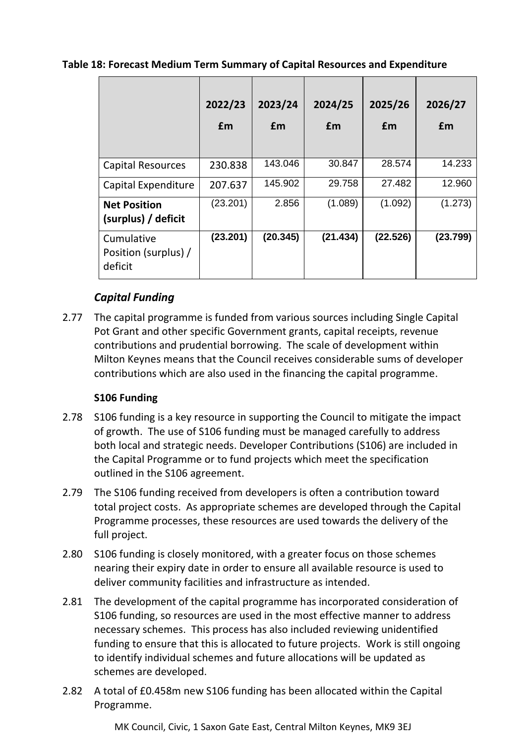|                                               | 2022/23<br>£m | 2023/24<br>£m | 2024/25<br>£m | 2025/26<br>£m | 2026/27<br>£m |
|-----------------------------------------------|---------------|---------------|---------------|---------------|---------------|
| <b>Capital Resources</b>                      | 230.838       | 143.046       | 30.847        | 28.574        | 14.233        |
| Capital Expenditure                           | 207.637       | 145.902       | 29.758        | 27.482        | 12.960        |
| <b>Net Position</b><br>(surplus) / deficit    | (23.201)      | 2.856         | (1.089)       | (1.092)       | (1.273)       |
| Cumulative<br>Position (surplus) /<br>deficit | (23.201)      | (20.345)      | (21.434)      | (22.526)      | (23.799)      |

## **Table 18: Forecast Medium Term Summary of Capital Resources and Expenditure**

## *Capital Funding*

2.77 The capital programme is funded from various sources including Single Capital Pot Grant and other specific Government grants, capital receipts, revenue contributions and prudential borrowing. The scale of development within Milton Keynes means that the Council receives considerable sums of developer contributions which are also used in the financing the capital programme.

## **S106 Funding**

- 2.78 S106 funding is a key resource in supporting the Council to mitigate the impact of growth. The use of S106 funding must be managed carefully to address both local and strategic needs. Developer Contributions (S106) are included in the Capital Programme or to fund projects which meet the specification outlined in the S106 agreement.
- 2.79 The S106 funding received from developers is often a contribution toward total project costs. As appropriate schemes are developed through the Capital Programme processes, these resources are used towards the delivery of the full project.
- 2.80 S106 funding is closely monitored, with a greater focus on those schemes nearing their expiry date in order to ensure all available resource is used to deliver community facilities and infrastructure as intended.
- 2.81 The development of the capital programme has incorporated consideration of S106 funding, so resources are used in the most effective manner to address necessary schemes. This process has also included reviewing unidentified funding to ensure that this is allocated to future projects. Work is still ongoing to identify individual schemes and future allocations will be updated as schemes are developed.
- 2.82 A total of £0.458m new S106 funding has been allocated within the Capital Programme.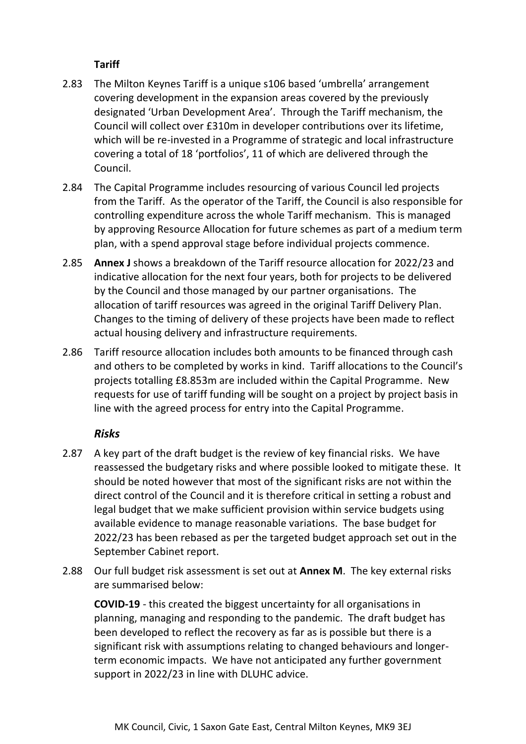## **Tariff**

- 2.83 The Milton Keynes Tariff is a unique s106 based 'umbrella' arrangement covering development in the expansion areas covered by the previously designated 'Urban Development Area'. Through the Tariff mechanism, the Council will collect over £310m in developer contributions over its lifetime, which will be re-invested in a Programme of strategic and local infrastructure covering a total of 18 'portfolios', 11 of which are delivered through the Council.
- 2.84 The Capital Programme includes resourcing of various Council led projects from the Tariff. As the operator of the Tariff, the Council is also responsible for controlling expenditure across the whole Tariff mechanism. This is managed by approving Resource Allocation for future schemes as part of a medium term plan, with a spend approval stage before individual projects commence.
- 2.85 **Annex J** shows a breakdown of the Tariff resource allocation for 2022/23 and indicative allocation for the next four years, both for projects to be delivered by the Council and those managed by our partner organisations. The allocation of tariff resources was agreed in the original Tariff Delivery Plan. Changes to the timing of delivery of these projects have been made to reflect actual housing delivery and infrastructure requirements.
- 2.86 Tariff resource allocation includes both amounts to be financed through cash and others to be completed by works in kind. Tariff allocations to the Council's projects totalling £8.853m are included within the Capital Programme. New requests for use of tariff funding will be sought on a project by project basis in line with the agreed process for entry into the Capital Programme.

## *Risks*

- 2.87 A key part of the draft budget is the review of key financial risks. We have reassessed the budgetary risks and where possible looked to mitigate these. It should be noted however that most of the significant risks are not within the direct control of the Council and it is therefore critical in setting a robust and legal budget that we make sufficient provision within service budgets using available evidence to manage reasonable variations. The base budget for 2022/23 has been rebased as per the targeted budget approach set out in the September Cabinet report.
- 2.88 Our full budget risk assessment is set out at **Annex M**. The key external risks are summarised below:

**COVID-19** - this created the biggest uncertainty for all organisations in planning, managing and responding to the pandemic. The draft budget has been developed to reflect the recovery as far as is possible but there is a significant risk with assumptions relating to changed behaviours and longerterm economic impacts. We have not anticipated any further government support in 2022/23 in line with DLUHC advice.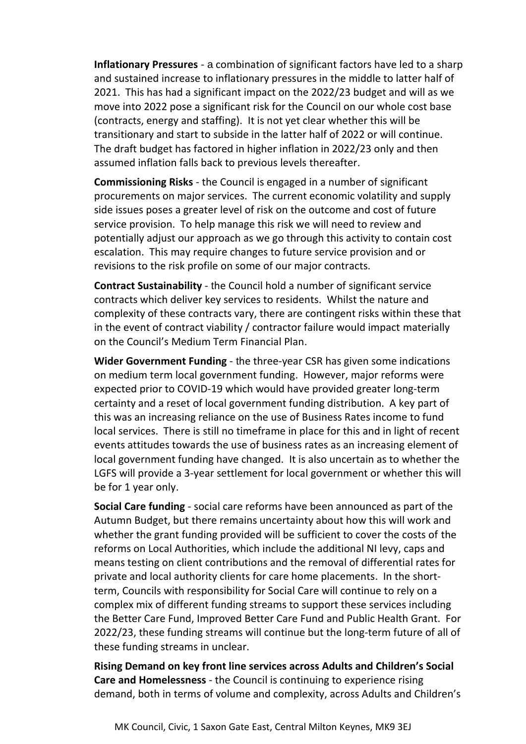**Inflationary Pressures** - a combination of significant factors have led to a sharp and sustained increase to inflationary pressures in the middle to latter half of 2021. This has had a significant impact on the 2022/23 budget and will as we move into 2022 pose a significant risk for the Council on our whole cost base (contracts, energy and staffing). It is not yet clear whether this will be transitionary and start to subside in the latter half of 2022 or will continue. The draft budget has factored in higher inflation in 2022/23 only and then assumed inflation falls back to previous levels thereafter.

**Commissioning Risks** - the Council is engaged in a number of significant procurements on major services. The current economic volatility and supply side issues poses a greater level of risk on the outcome and cost of future service provision. To help manage this risk we will need to review and potentially adjust our approach as we go through this activity to contain cost escalation. This may require changes to future service provision and or revisions to the risk profile on some of our major contracts.

**Contract Sustainability** - the Council hold a number of significant service contracts which deliver key services to residents. Whilst the nature and complexity of these contracts vary, there are contingent risks within these that in the event of contract viability / contractor failure would impact materially on the Council's Medium Term Financial Plan.

**Wider Government Funding** - the three-year CSR has given some indications on medium term local government funding. However, major reforms were expected prior to COVID-19 which would have provided greater long-term certainty and a reset of local government funding distribution. A key part of this was an increasing reliance on the use of Business Rates income to fund local services. There is still no timeframe in place for this and in light of recent events attitudes towards the use of business rates as an increasing element of local government funding have changed. It is also uncertain as to whether the LGFS will provide a 3-year settlement for local government or whether this will be for 1 year only.

**Social Care funding** - social care reforms have been announced as part of the Autumn Budget, but there remains uncertainty about how this will work and whether the grant funding provided will be sufficient to cover the costs of the reforms on Local Authorities, which include the additional NI levy, caps and means testing on client contributions and the removal of differential rates for private and local authority clients for care home placements. In the shortterm, Councils with responsibility for Social Care will continue to rely on a complex mix of different funding streams to support these services including the Better Care Fund, Improved Better Care Fund and Public Health Grant. For 2022/23, these funding streams will continue but the long-term future of all of these funding streams in unclear.

**Rising Demand on key front line services across Adults and Children's Social Care and Homelessness** - the Council is continuing to experience rising demand, both in terms of volume and complexity, across Adults and Children's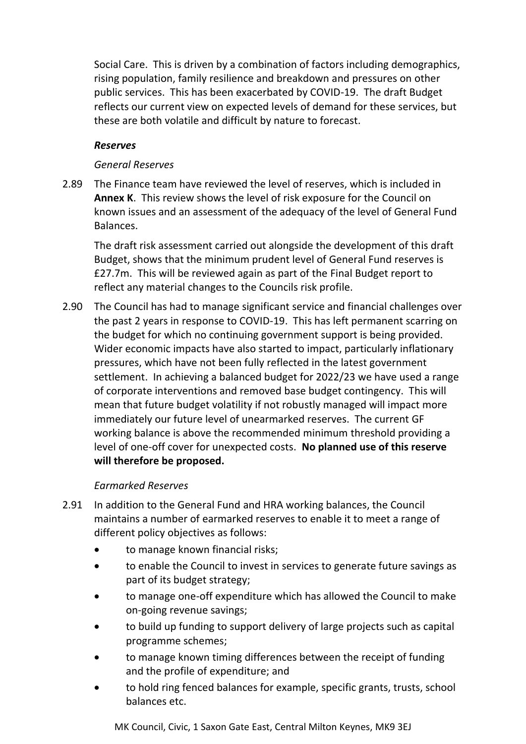Social Care. This is driven by a combination of factors including demographics, rising population, family resilience and breakdown and pressures on other public services. This has been exacerbated by COVID-19. The draft Budget reflects our current view on expected levels of demand for these services, but these are both volatile and difficult by nature to forecast.

## *Reserves*

## *General Reserves*

2.89 The Finance team have reviewed the level of reserves, which is included in **Annex K**. This review shows the level of risk exposure for the Council on known issues and an assessment of the adequacy of the level of General Fund Balances.

The draft risk assessment carried out alongside the development of this draft Budget, shows that the minimum prudent level of General Fund reserves is £27.7m. This will be reviewed again as part of the Final Budget report to reflect any material changes to the Councils risk profile.

2.90 The Council has had to manage significant service and financial challenges over the past 2 years in response to COVID-19. This has left permanent scarring on the budget for which no continuing government support is being provided. Wider economic impacts have also started to impact, particularly inflationary pressures, which have not been fully reflected in the latest government settlement. In achieving a balanced budget for 2022/23 we have used a range of corporate interventions and removed base budget contingency. This will mean that future budget volatility if not robustly managed will impact more immediately our future level of unearmarked reserves. The current GF working balance is above the recommended minimum threshold providing a level of one-off cover for unexpected costs. **No planned use of this reserve will therefore be proposed.**

## *Earmarked Reserves*

- 2.91 In addition to the General Fund and HRA working balances, the Council maintains a number of earmarked reserves to enable it to meet a range of different policy objectives as follows:
	- to manage known financial risks;
	- to enable the Council to invest in services to generate future savings as part of its budget strategy;
	- to manage one-off expenditure which has allowed the Council to make on-going revenue savings;
	- to build up funding to support delivery of large projects such as capital programme schemes;
	- to manage known timing differences between the receipt of funding and the profile of expenditure; and
	- to hold ring fenced balances for example, specific grants, trusts, school balances etc.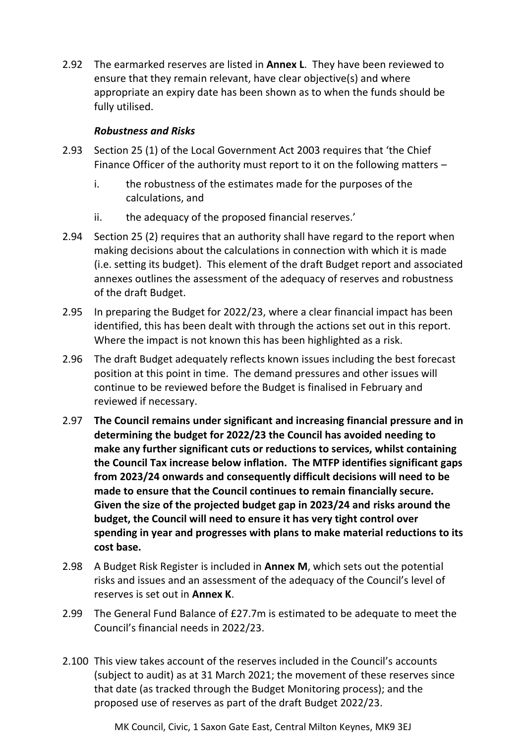2.92 The earmarked reserves are listed in **Annex L**. They have been reviewed to ensure that they remain relevant, have clear objective(s) and where appropriate an expiry date has been shown as to when the funds should be fully utilised.

## *Robustness and Risks*

- 2.93 Section 25 (1) of the Local Government Act 2003 requires that 'the Chief Finance Officer of the authority must report to it on the following matters –
	- i. the robustness of the estimates made for the purposes of the calculations, and
	- ii. the adequacy of the proposed financial reserves.'
- 2.94 Section 25 (2) requires that an authority shall have regard to the report when making decisions about the calculations in connection with which it is made (i.e. setting its budget). This element of the draft Budget report and associated annexes outlines the assessment of the adequacy of reserves and robustness of the draft Budget.
- 2.95 In preparing the Budget for 2022/23, where a clear financial impact has been identified, this has been dealt with through the actions set out in this report. Where the impact is not known this has been highlighted as a risk.
- 2.96 The draft Budget adequately reflects known issues including the best forecast position at this point in time. The demand pressures and other issues will continue to be reviewed before the Budget is finalised in February and reviewed if necessary.
- 2.97 **The Council remains under significant and increasing financial pressure and in determining the budget for 2022/23 the Council has avoided needing to make any further significant cuts or reductions to services, whilst containing the Council Tax increase below inflation. The MTFP identifies significant gaps from 2023/24 onwards and consequently difficult decisions will need to be made to ensure that the Council continues to remain financially secure. Given the size of the projected budget gap in 2023/24 and risks around the budget, the Council will need to ensure it has very tight control over spending in year and progresses with plans to make material reductions to its cost base.**
- 2.98 A Budget Risk Register is included in **Annex M**, which sets out the potential risks and issues and an assessment of the adequacy of the Council's level of reserves is set out in **Annex K**.
- 2.99 The General Fund Balance of £27.7m is estimated to be adequate to meet the Council's financial needs in 2022/23.
- 2.100 This view takes account of the reserves included in the Council's accounts (subject to audit) as at 31 March 2021; the movement of these reserves since that date (as tracked through the Budget Monitoring process); and the proposed use of reserves as part of the draft Budget 2022/23.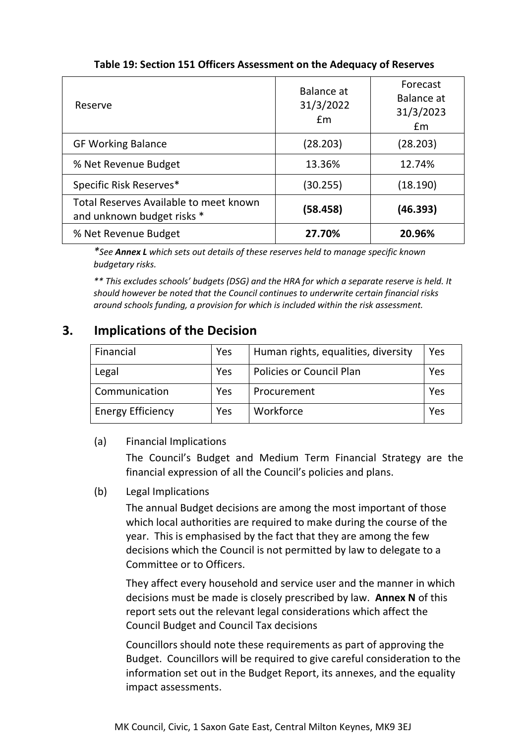| Reserve                                                              | Balance at<br>31/3/2022<br>Em | Forecast<br>Balance at<br>31/3/2023<br>£m |
|----------------------------------------------------------------------|-------------------------------|-------------------------------------------|
| <b>GF Working Balance</b>                                            | (28.203)                      | (28.203)                                  |
| % Net Revenue Budget                                                 | 13.36%                        | 12.74%                                    |
| Specific Risk Reserves*                                              | (30.255)                      | (18.190)                                  |
| Total Reserves Available to meet known<br>and unknown budget risks * | (58.458)                      | (46.393)                                  |
| % Net Revenue Budget                                                 | 27.70%                        | 20.96%                                    |

# **Table 19: Section 151 Officers Assessment on the Adequacy of Reserves**

*\*See Annex L which sets out details of these reserves held to manage specific known budgetary risks.*

*\*\* This excludes schools' budgets (DSG) and the HRA for which a separate reserve is held. It should however be noted that the Council continues to underwrite certain financial risks around schools funding, a provision for which is included within the risk assessment.*

# **3. Implications of the Decision**

| Financial                | Yes | Human rights, equalities, diversity | Yes |
|--------------------------|-----|-------------------------------------|-----|
| Legal                    | Yes | <b>Policies or Council Plan</b>     | Yes |
| Communication            | Yes | Procurement                         | Yes |
| <b>Energy Efficiency</b> | Yes | Workforce                           | Yes |

## (a) Financial Implications

The Council's Budget and Medium Term Financial Strategy are the financial expression of all the Council's policies and plans.

(b) Legal Implications

The annual Budget decisions are among the most important of those which local authorities are required to make during the course of the year. This is emphasised by the fact that they are among the few decisions which the Council is not permitted by law to delegate to a Committee or to Officers.

They affect every household and service user and the manner in which decisions must be made is closely prescribed by law. **Annex N** of this report sets out the relevant legal considerations which affect the Council Budget and Council Tax decisions

Councillors should note these requirements as part of approving the Budget. Councillors will be required to give careful consideration to the information set out in the Budget Report, its annexes, and the equality impact assessments.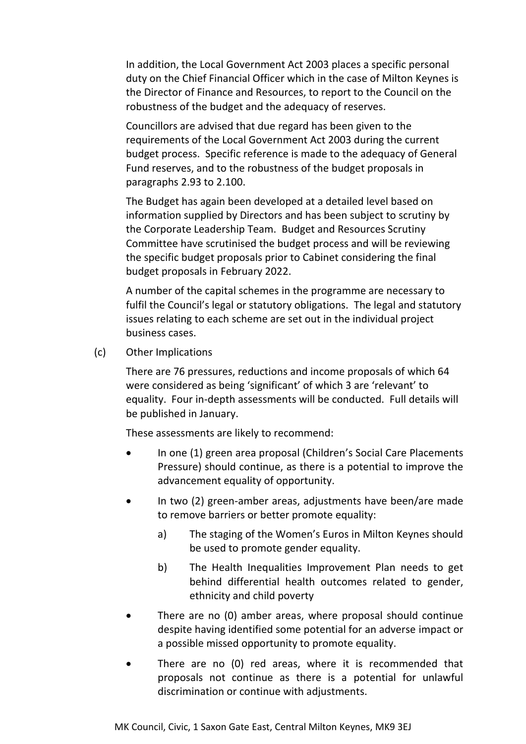In addition, the Local Government Act 2003 places a specific personal duty on the Chief Financial Officer which in the case of Milton Keynes is the Director of Finance and Resources, to report to the Council on the robustness of the budget and the adequacy of reserves.

Councillors are advised that due regard has been given to the requirements of the Local Government Act 2003 during the current budget process. Specific reference is made to the adequacy of General Fund reserves, and to the robustness of the budget proposals in paragraphs 2.93 to 2.100.

The Budget has again been developed at a detailed level based on information supplied by Directors and has been subject to scrutiny by the Corporate Leadership Team. Budget and Resources Scrutiny Committee have scrutinised the budget process and will be reviewing the specific budget proposals prior to Cabinet considering the final budget proposals in February 2022.

A number of the capital schemes in the programme are necessary to fulfil the Council's legal or statutory obligations. The legal and statutory issues relating to each scheme are set out in the individual project business cases.

(c) Other Implications

There are 76 pressures, reductions and income proposals of which 64 were considered as being 'significant' of which 3 are 'relevant' to equality. Four in-depth assessments will be conducted. Full details will be published in January.

These assessments are likely to recommend:

- In one (1) green area proposal (Children's Social Care Placements Pressure) should continue, as there is a potential to improve the advancement equality of opportunity.
- In two (2) green-amber areas, adjustments have been/are made to remove barriers or better promote equality:
	- a) The staging of the Women's Euros in Milton Keynes should be used to promote gender equality.
	- b) The Health Inequalities Improvement Plan needs to get behind differential health outcomes related to gender, ethnicity and child poverty
- There are no (0) amber areas, where proposal should continue despite having identified some potential for an adverse impact or a possible missed opportunity to promote equality.
- There are no (0) red areas, where it is recommended that proposals not continue as there is a potential for unlawful discrimination or continue with adjustments.